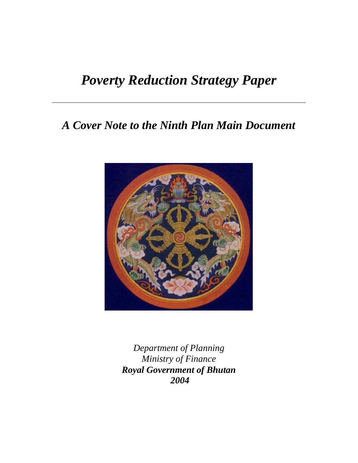# *Poverty Reduction Strategy Paper*

# *A Cover Note to the Ninth Plan Main Document*



*Department of Planning Ministry of Finance Royal Government of Bhutan 2004*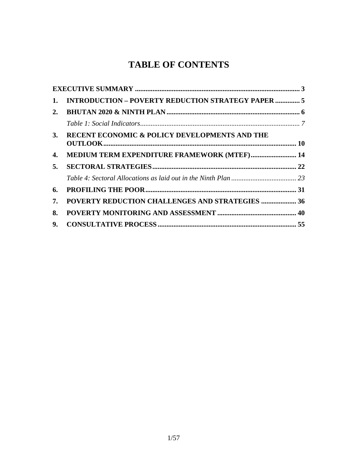# **TABLE OF CONTENTS**

| 1. | <b>INTRODUCTION - POVERTY REDUCTION STRATEGY PAPER  5</b> |  |
|----|-----------------------------------------------------------|--|
| 2. |                                                           |  |
|    |                                                           |  |
| 3. | RECENT ECONOMIC & POLICY DEVELOPMENTS AND THE             |  |
| 4. | <b>MEDIUM TERM EXPENDITURE FRAMEWORK (MTEF) 14</b>        |  |
| 5. |                                                           |  |
|    |                                                           |  |
| 6. |                                                           |  |
| 7. | POVERTY REDUCTION CHALLENGES AND STRATEGIES  36           |  |
| 8. |                                                           |  |
| 9. |                                                           |  |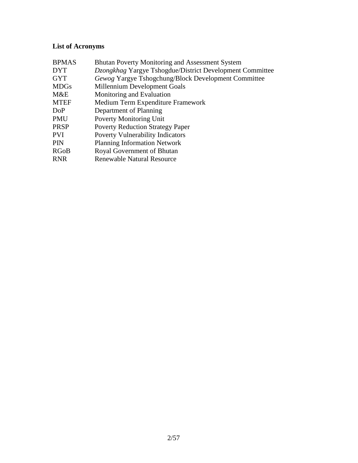# **List of Acronyms**

| <b>BPMAS</b> | <b>Bhutan Poverty Monitoring and Assessment System</b>   |
|--------------|----------------------------------------------------------|
| <b>DYT</b>   | Dzongkhag Yargye Tshogdue/District Development Committee |
| <b>GYT</b>   | Gewog Yargye Tshogchung/Block Development Committee      |
| <b>MDGs</b>  | Millennium Development Goals                             |
| M&E          | Monitoring and Evaluation                                |
| <b>MTEF</b>  | Medium Term Expenditure Framework                        |
| DoP          | Department of Planning                                   |
| PMU          | <b>Poverty Monitoring Unit</b>                           |
| <b>PRSP</b>  | <b>Poverty Reduction Strategy Paper</b>                  |
| <b>PVI</b>   | <b>Poverty Vulnerability Indicators</b>                  |
| PIN          | <b>Planning Information Network</b>                      |
| <b>RGoB</b>  | Royal Government of Bhutan                               |
| <b>RNR</b>   | <b>Renewable Natural Resource</b>                        |
|              |                                                          |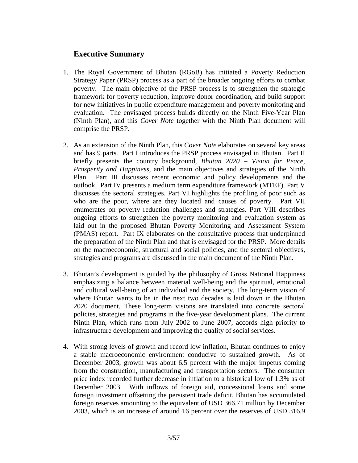# **Executive Summary**

- 1. The Royal Government of Bhutan (RGoB) has initiated a Poverty Reduction Strategy Paper (PRSP) process as a part of the broader ongoing efforts to combat poverty. The main objective of the PRSP process is to strengthen the strategic framework for poverty reduction, improve donor coordination, and build support for new initiatives in public expenditure management and poverty monitoring and evaluation. The envisaged process builds directly on the Ninth Five-Year Plan (Ninth Plan), and this *Cover Note* together with the Ninth Plan document will comprise the PRSP.
- 2. As an extension of the Ninth Plan, this *Cover Note* elaborates on several key areas and has 9 parts. Part I introduces the PRSP process envisaged in Bhutan. Part II briefly presents the country background, *Bhutan 2020 – Vision for Peace, Prosperity and Happiness*, and the main objectives and strategies of the Ninth Plan. Part III discusses recent economic and policy developments and the outlook. Part IV presents a medium term expenditure framework (MTEF). Part V discusses the sectoral strategies. Part VI highlights the profiling of poor such as who are the poor, where are they located and causes of poverty. Part VII enumerates on poverty reduction challenges and strategies. Part VIII describes ongoing efforts to strengthen the poverty monitoring and evaluation system as laid out in the proposed Bhutan Poverty Monitoring and Assessment System (PMAS) report. Part IX elaborates on the consultative process that underpinned the preparation of the Ninth Plan and that is envisaged for the PRSP. More details on the macroeconomic, structural and social policies, and the sectoral objectives, strategies and programs are discussed in the main document of the Ninth Plan.
- 3. Bhutan's development is guided by the philosophy of Gross National Happiness emphasizing a balance between material well-being and the spiritual, emotional and cultural well-being of an individual and the society. The long-term vision of where Bhutan wants to be in the next two decades is laid down in the Bhutan 2020 document. These long-term visions are translated into concrete sectoral policies, strategies and programs in the five-year development plans. The current Ninth Plan, which runs from July 2002 to June 2007, accords high priority to infrastructure development and improving the quality of social services.
- 4. With strong levels of growth and record low inflation, Bhutan continues to enjoy a stable macroeconomic environment conducive to sustained growth. As of December 2003, growth was about 6.5 percent with the major impetus coming from the construction, manufacturing and transportation sectors. The consumer price index recorded further decrease in inflation to a historical low of 1.3% as of December 2003. With inflows of foreign aid, concessional loans and some foreign investment offsetting the persistent trade deficit, Bhutan has accumulated foreign reserves amounting to the equivalent of USD 366.71 million by December 2003, which is an increase of around 16 percent over the reserves of USD 316.9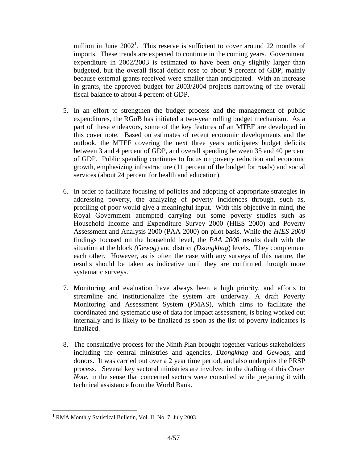million in June  $2002<sup>1</sup>$ . This reserve is sufficient to cover around 22 months of imports. These trends are expected to continue in the coming years. Government expenditure in 2002/2003 is estimated to have been only slightly larger than budgeted, but the overall fiscal deficit rose to about 9 percent of GDP, mainly because external grants received were smaller than anticipated. With an increase in grants, the approved budget for 2003/2004 projects narrowing of the overall fiscal balance to about 4 percent of GDP.

- 5. In an effort to strengthen the budget process and the management of public expenditures, the RGoB has initiated a two-year rolling budget mechanism. As a part of these endeavors, some of the key features of an MTEF are developed in this cover note. Based on estimates of recent economic developments and the outlook, the MTEF covering the next three years anticipates budget deficits between 3 and 4 percent of GDP, and overall spending between 35 and 40 percent of GDP. Public spending continues to focus on poverty reduction and economic growth, emphasizing infrastructure (11 percent of the budget for roads) and social services (about 24 percent for health and education).
- 6. In order to facilitate focusing of policies and adopting of appropriate strategies in addressing poverty, the analyzing of poverty incidences through, such as, profiling of poor would give a meaningful input. With this objective in mind, the Royal Government attempted carrying out some poverty studies such as Household Income and Expenditure Survey 2000 (HIES 2000) and Poverty Assessment and Analysis 2000 (PAA 2000) on pilot basis. While the *HIES 2000*  findings focused on the household level, the *PAA 2000* results dealt with the situation at the block *(Gewog*) and district *(Dzongkhag*) levels. They complement each other. However, as is often the case with any surveys of this nature, the results should be taken as indicative until they are confirmed through more systematic surveys.
- 7. Monitoring and evaluation have always been a high priority, and efforts to streamline and institutionalize the system are underway. A draft Poverty Monitoring and Assessment System (PMAS), which aims to facilitate the coordinated and systematic use of data for impact assessment, is being worked out internally and is likely to be finalized as soon as the list of poverty indicators is finalized.
- 8. The consultative process for the Ninth Plan brought together various stakeholders including the central ministries and agencies, *Dzongkhag* and *Gewogs*, and donors. It was carried out over a 2 year time period, and also underpins the PRSP process. Several key sectoral ministries are involved in the drafting of this *Cover Note*, in the sense that concerned sectors were consulted while preparing it with technical assistance from the World Bank.

1

<sup>&</sup>lt;sup>1</sup> RMA Monthly Statistical Bulletin, Vol. II. No. 7, July 2003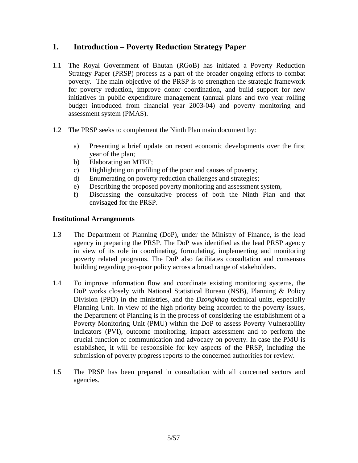# **1. Introduction – Poverty Reduction Strategy Paper**

- 1.1 The Royal Government of Bhutan (RGoB) has initiated a Poverty Reduction Strategy Paper (PRSP) process as a part of the broader ongoing efforts to combat poverty. The main objective of the PRSP is to strengthen the strategic framework for poverty reduction, improve donor coordination, and build support for new initiatives in public expenditure management (annual plans and two year rolling budget introduced from financial year 2003-04) and poverty monitoring and assessment system (PMAS).
- 1.2 The PRSP seeks to complement the Ninth Plan main document by:
	- a) Presenting a brief update on recent economic developments over the first year of the plan;
	- b) Elaborating an MTEF;
	- c) Highlighting on profiling of the poor and causes of poverty;
	- d) Enumerating on poverty reduction challenges and strategies;
	- e) Describing the proposed poverty monitoring and assessment system,
	- f) Discussing the consultative process of both the Ninth Plan and that envisaged for the PRSP.

#### **Institutional Arrangements**

- 1.3 The Department of Planning (DoP), under the Ministry of Finance, is the lead agency in preparing the PRSP. The DoP was identified as the lead PRSP agency in view of its role in coordinating, formulating, implementing and monitoring poverty related programs. The DoP also facilitates consultation and consensus building regarding pro-poor policy across a broad range of stakeholders.
- 1.4 To improve information flow and coordinate existing monitoring systems, the DoP works closely with National Statistical Bureau (NSB), Planning & Policy Division (PPD) in the ministries, and the *Dzongkhag* technical units, especially Planning Unit. In view of the high priority being accorded to the poverty issues, the Department of Planning is in the process of considering the establishment of a Poverty Monitoring Unit (PMU) within the DoP to assess Poverty Vulnerability Indicators (PVI), outcome monitoring, impact assessment and to perform the crucial function of communication and advocacy on poverty. In case the PMU is established, it will be responsible for key aspects of the PRSP, including the submission of poverty progress reports to the concerned authorities for review.
- 1.5 The PRSP has been prepared in consultation with all concerned sectors and agencies.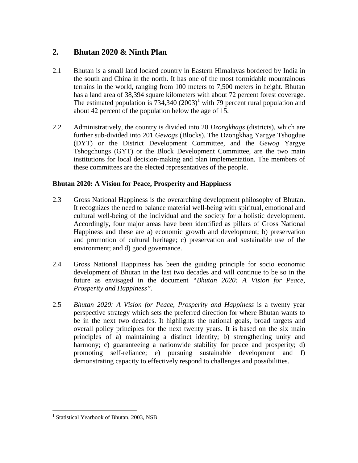# **2. Bhutan 2020 & Ninth Plan**

- 2.1 Bhutan is a small land locked country in Eastern Himalayas bordered by India in the south and China in the north. It has one of the most formidable mountainous terrains in the world, ranging from 100 meters to 7,500 meters in height. Bhutan has a land area of 38,394 square kilometers with about 72 percent forest coverage. The estimated population is  $734,340$  (2003)<sup>1</sup> with 79 percent rural population and about 42 percent of the population below the age of 15.
- 2.2 Administratively, the country is divided into 20 *Dzongkhags* (districts), which are further sub-divided into 201 *Gewogs* (Blocks). The Dzongkhag Yargye Tshogdue (DYT) or the District Development Committee, and the *Gewog* Yargye Tshogchungs (GYT) or the Block Development Committee, are the two main institutions for local decision-making and plan implementation. The members of these committees are the elected representatives of the people.

## **Bhutan 2020: A Vision for Peace, Prosperity and Happiness**

- 2.3 Gross National Happiness is the overarching development philosophy of Bhutan. It recognizes the need to balance material well-being with spiritual, emotional and cultural well-being of the individual and the society for a holistic development. Accordingly, four major areas have been identified as pillars of Gross National Happiness and these are a) economic growth and development; b) preservation and promotion of cultural heritage; c) preservation and sustainable use of the environment; and d) good governance.
- 2.4 Gross National Happiness has been the guiding principle for socio economic development of Bhutan in the last two decades and will continue to be so in the future as envisaged in the document *"Bhutan 2020: A Vision for Peace, Prosperity and Happiness"*.
- 2.5 *Bhutan 2020: A Vision for Peace, Prosperity and Happiness* is a twenty year perspective strategy which sets the preferred direction for where Bhutan wants to be in the next two decades. It highlights the national goals, broad targets and overall policy principles for the next twenty years. It is based on the six main principles of a) maintaining a distinct identity; b) strengthening unity and harmony; c) guaranteeing a nationwide stability for peace and prosperity; d) promoting self-reliance; e) pursuing sustainable development and f) demonstrating capacity to effectively respond to challenges and possibilities.

 1 Statistical Yearbook of Bhutan, 2003, NSB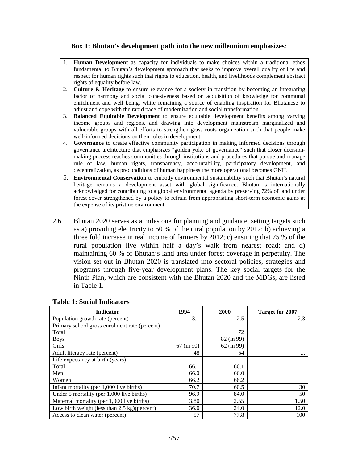#### **Box 1: Bhutan's development path into the new millennium emphasizes**:

- 1. **Human Development** as capacity for individuals to make choices within a traditional ethos fundamental to Bhutan's development approach that seeks to improve overall quality of life and respect for human rights such that rights to education, health, and livelihoods complement abstract rights of equality before law.
- 2. **Culture & Heritage** to ensure relevance for a society in transition by becoming an integrating factor of harmony and social cohesiveness based on acquisition of knowledge for communal enrichment and well being, while remaining a source of enabling inspiration for Bhutanese to adjust and cope with the rapid pace of modernization and social transformation.
- 3. **Balanced Equitable Development** to ensure equitable development benefits among varying income groups and regions, and drawing into development mainstream marginalized and vulnerable groups with all efforts to strengthen grass roots organization such that people make well-informed decisions on their roles in development.
- 4. **Governance** to create effective community participation in making informed decisions through governance architecture that emphasizes "golden yoke of governance" such that closer decisionmaking process reaches communities through institutions and procedures that pursue and manage rule of law, human rights, transparency, accountability, participatory development, and decentralization, as preconditions of human happiness the more operational becomes GNH.
- 5. **Environmental Conservation** to embody environmental sustainability such that Bhutan's natural heritage remains a development asset with global significance. Bhutan is internationally acknowledged for contributing to a global environmental agenda by preserving 72% of land under forest cover strengthened by a policy to refrain from appropriating short-term economic gains at the expense of its pristine environment.
- 2.6 Bhutan 2020 serves as a milestone for planning and guidance, setting targets such as a) providing electricity to 50 % of the rural population by 2012; b) achieving a three fold increase in real income of farmers by 2012; c) ensuring that 75 % of the rural population live within half a day's walk from nearest road; and d) maintaining 60 % of Bhutan's land area under forest coverage in perpetuity. The vision set out in Bhutan 2020 is translated into sectoral policies, strategies and programs through five-year development plans. The key social targets for the Ninth Plan, which are consistent with the Bhutan 2020 and the MDGs, are listed in Table 1.

| <b>Indicator</b>                                        | 1994       | 2000       | <b>Target for 2007</b> |
|---------------------------------------------------------|------------|------------|------------------------|
| Population growth rate (percent)                        | 3.1        | 2.5        | 2.3                    |
| Primary school gross enrolment rate (percent)           |            |            |                        |
| Total                                                   |            | 72         |                        |
| <b>Boys</b>                                             |            | 82 (in 99) |                        |
| Girls                                                   | 67 (in 90) | 62 (in 99) |                        |
| Adult literacy rate (percent)                           | 48         | 54         | $\cdots$               |
| Life expectancy at birth (years)                        |            |            |                        |
| Total                                                   | 66.1       | 66.1       |                        |
| Men                                                     | 66.0       | 66.0       |                        |
| Women                                                   | 66.2       | 66.2       |                        |
| Infant mortality (per 1,000 live births)                | 70.7       | 60.5       | 30                     |
| Under 5 mortality (per $1,000$ live births)             | 96.9       | 84.0       | 50                     |
| Maternal mortality (per 1,000 live births)              | 3.80       | 2.55       | 1.50                   |
| Low birth weight (less than $2.5 \text{ kg}$ )(percent) | 36.0       | 24.0       | 12.0                   |
| Access to clean water (percent)                         | 57         | 77.8       | 100                    |

#### **Table 1: Social Indicators**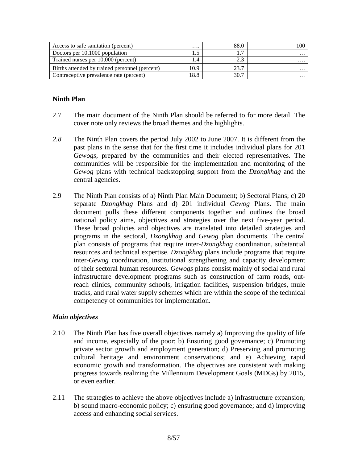| Access to safe sanitation (percent)            | .    | 88.0 |          |
|------------------------------------------------|------|------|----------|
| Doctors per 10,1000 population                 |      |      | $\cdots$ |
| Trained nurses per 10,000 (percent)            |      |      | .        |
| Births attended by trained personnel (percent) | 10.9 | าว า | $\cdots$ |
| Contraceptive prevalence rate (percent)        | 18.8 | 30.7 | $\cdots$ |

## **Ninth Plan**

- 2.7 The main document of the Ninth Plan should be referred to for more detail. The cover note only reviews the broad themes and the highlights.
- *2.8* The Ninth Plan covers the period July 2002 to June 2007. It is different from the past plans in the sense that for the first time it includes individual plans for 201 *Gewogs*, prepared by the communities and their elected representatives. The communities will be responsible for the implementation and monitoring of the *Gewog* plans with technical backstopping support from the *Dzongkhag* and the central agencies.
- 2.9 The Ninth Plan consists of a) Ninth Plan Main Document; b) Sectoral Plans; c) 20 separate *Dzongkhag* Plans and d) 201 individual *Gewog* Plans. The main document pulls these different components together and outlines the broad national policy aims, objectives and strategies over the next five-year period. These broad policies and objectives are translated into detailed strategies and programs in the sectoral, *Dzongkhag* and *Gewog* plan documents. The central plan consists of programs that require inter-*Dzongkhag* coordination, substantial resources and technical expertise. *Dzongkhag* plans include programs that require inter-*Gewog* coordination, institutional strengthening and capacity development of their sectoral human resources. *Gewogs* plans consist mainly of social and rural infrastructure development programs such as construction of farm roads, outreach clinics, community schools, irrigation facilities, suspension bridges, mule tracks, and rural water supply schemes which are within the scope of the technical competency of communities for implementation.

## *Main objectives*

- 2.10 The Ninth Plan has five overall objectives namely a) Improving the quality of life and income, especially of the poor; b) Ensuring good governance; c) Promoting private sector growth and employment generation; d) Preserving and promoting cultural heritage and environment conservations; and e) Achieving rapid economic growth and transformation. The objectives are consistent with making progress towards realizing the Millennium Development Goals (MDGs) by 2015, or even earlier.
- 2.11 The strategies to achieve the above objectives include a) infrastructure expansion; b) sound macro-economic policy; c) ensuring good governance; and d) improving access and enhancing social services.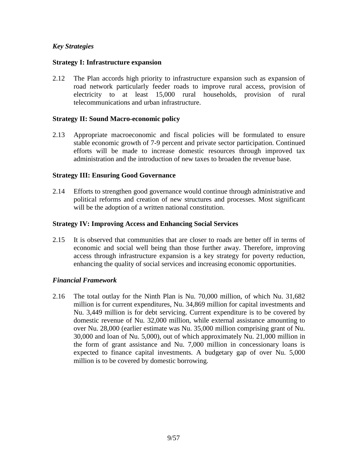#### *Key Strategies*

#### **Strategy I: Infrastructure expansion**

2.12 The Plan accords high priority to infrastructure expansion such as expansion of road network particularly feeder roads to improve rural access, provision of electricity to at least 15,000 rural households, provision of rural telecommunications and urban infrastructure.

#### **Strategy II: Sound Macro-economic policy**

2.13 Appropriate macroeconomic and fiscal policies will be formulated to ensure stable economic growth of 7-9 percent and private sector participation. Continued efforts will be made to increase domestic resources through improved tax administration and the introduction of new taxes to broaden the revenue base.

#### **Strategy III: Ensuring Good Governance**

2.14 Efforts to strengthen good governance would continue through administrative and political reforms and creation of new structures and processes. Most significant will be the adoption of a written national constitution.

#### **Strategy IV: Improving Access and Enhancing Social Services**

2.15 It is observed that communities that are closer to roads are better off in terms of economic and social well being than those further away. Therefore, improving access through infrastructure expansion is a key strategy for poverty reduction, enhancing the quality of social services and increasing economic opportunities.

#### *Financial Framework*

2.16 The total outlay for the Ninth Plan is Nu. 70,000 million, of which Nu. 31,682 million is for current expenditures, Nu. 34,869 million for capital investments and Nu. 3,449 million is for debt servicing. Current expenditure is to be covered by domestic revenue of Nu. 32,000 million, while external assistance amounting to over Nu. 28,000 (earlier estimate was Nu. 35,000 million comprising grant of Nu. 30,000 and loan of Nu. 5,000), out of which approximately Nu. 21,000 million in the form of grant assistance and Nu. 7,000 million in concessionary loans is expected to finance capital investments. A budgetary gap of over Nu. 5,000 million is to be covered by domestic borrowing.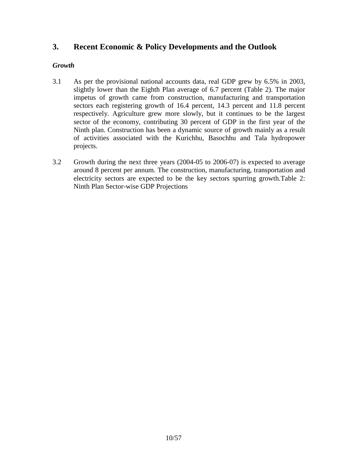# **3. Recent Economic & Policy Developments and the Outlook**

## *Growth*

- 3.1 As per the provisional national accounts data, real GDP grew by 6.5% in 2003, slightly lower than the Eighth Plan average of 6.7 percent (Table 2). The major impetus of growth came from construction, manufacturing and transportation sectors each registering growth of 16.4 percent, 14.3 percent and 11.8 percent respectively. Agriculture grew more slowly, but it continues to be the largest sector of the economy, contributing 30 percent of GDP in the first year of the Ninth plan. Construction has been a dynamic source of growth mainly as a result of activities associated with the Kurichhu, Basochhu and Tala hydropower projects.
- 3.2 Growth during the next three years (2004-05 to 2006-07) is expected to average around 8 percent per annum. The construction, manufacturing, transportation and electricity sectors are expected to be the key sectors spurring growth.Table 2: Ninth Plan Sector-wise GDP Projections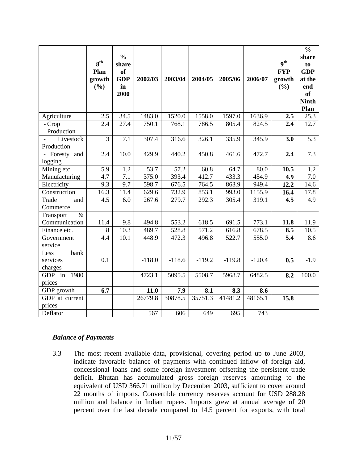|                                     | 8 <sup>th</sup><br>Plan<br>growth<br>(%) | $\frac{0}{0}$<br>share<br><sub>of</sub><br><b>GDP</b><br>in<br>2000 | 2002/03  | 2003/04  | 2004/05  | 2005/06  | 2006/07  | 9 <sup>th</sup><br><b>FYP</b><br>growth<br>(%) | $\frac{0}{0}$<br>share<br>to<br><b>GDP</b><br>at the<br>end<br><b>of</b><br><b>Ninth</b><br>Plan |
|-------------------------------------|------------------------------------------|---------------------------------------------------------------------|----------|----------|----------|----------|----------|------------------------------------------------|--------------------------------------------------------------------------------------------------|
| Agriculture                         | 2.5                                      | 34.5                                                                | 1483.0   | 1520.0   | 1558.0   | 1597.0   | 1636.9   | 2.5                                            | 25.3                                                                                             |
| - Crop<br>Production                | 2.4                                      | 27.4                                                                | 750.1    | 768.1    | 786.5    | 805.4    | 824.5    | 2.4                                            | 12.7                                                                                             |
| Livestock<br>Production             | $\overline{3}$                           | 7.1                                                                 | 307.4    | 316.6    | 326.1    | 335.9    | 345.9    | 3.0                                            | 5.3                                                                                              |
| Foresty and<br>logging              | 2.4                                      | 10.0                                                                | 429.9    | 440.2    | 450.8    | 461.6    | 472.7    | 2.4                                            | 7.3                                                                                              |
| Mining etc                          | 5.9                                      | 1.2                                                                 | 53.7     | 57.2     | 60.8     | 64.7     | 80.0     | 10.5                                           | 1.2                                                                                              |
| Manufacturing                       | 4.7                                      | 7.1                                                                 | 375.0    | 393.4    | 412.7    | 433.3    | 454.9    | 4.9                                            | 7.0                                                                                              |
| Electricity                         | 9.3                                      | 9.7                                                                 | 598.7    | 676.5    | 764.5    | 863.9    | 949.4    | 12.2                                           | 14.6                                                                                             |
| Construction                        | 16.3                                     | 11.4                                                                | 629.6    | 732.9    | 853.1    | 993.0    | 1155.9   | 16.4                                           | 17.8                                                                                             |
| Trade<br>and<br>Commerce            | 4.5                                      | 6.0                                                                 | 267.6    | 279.7    | 292.3    | 305.4    | 319.1    | 4.5                                            | 4.9                                                                                              |
| $\&$<br>Transport<br>Communication  | 11.4                                     | 9.8                                                                 | 494.8    | 553.2    | 618.5    | 691.5    | 773.1    | 11.8                                           | 11.9                                                                                             |
| Finance etc.                        | 8                                        | 10.3                                                                | 489.7    | 528.8    | 571.2    | 616.8    | 678.5    | 8.5                                            | 10.5                                                                                             |
| Government<br>service               | 4.4                                      | 10.1                                                                | 448.9    | 472.3    | 496.8    | 522.7    | 555.0    | 5.4                                            | 8.6                                                                                              |
| bank<br>Less<br>services<br>charges | 0.1                                      |                                                                     | $-118.0$ | $-118.6$ | $-119.2$ | $-119.8$ | $-120.4$ | 0.5                                            | $-1.9$                                                                                           |
| GDP in<br>1980<br>prices            |                                          |                                                                     | 4723.1   | 5095.5   | 5508.7   | 5968.7   | 6482.5   | 8.2                                            | 100.0                                                                                            |
| GDP growth                          | 6.7                                      |                                                                     | 11.0     | 7.9      | 8.1      | 8.3      | 8.6      |                                                |                                                                                                  |
| GDP at current<br>prices            |                                          |                                                                     | 26779.8  | 30878.5  | 35751.3  | 41481.2  | 48165.1  | 15.8                                           |                                                                                                  |
| Deflator                            |                                          |                                                                     | 567      | 606      | 649      | 695      | 743      |                                                |                                                                                                  |

#### *Balance of Payments*

3.3 The most recent available data, provisional, covering period up to June 2003, indicate favorable balance of payments with continued inflow of foreign aid, concessional loans and some foreign investment offsetting the persistent trade deficit. Bhutan has accumulated gross foreign reserves amounting to the equivalent of USD 366.71 million by December 2003, sufficient to cover around 22 months of imports. Convertible currency reserves account for USD 288.28 million and balance in Indian rupees. Imports grew at annual average of 20 percent over the last decade compared to 14.5 percent for exports, with total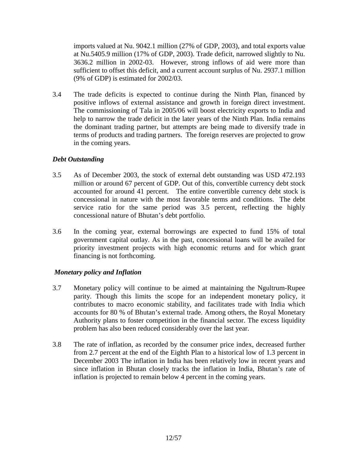imports valued at Nu. 9042.1 million (27% of GDP, 2003), and total exports value at Nu.5405.9 million (17% of GDP, 2003). Trade deficit, narrowed slightly to Nu. 3636.2 million in 2002-03. However, strong inflows of aid were more than sufficient to offset this deficit, and a current account surplus of Nu. 2937.1 million (9% of GDP) is estimated for 2002/03.

3.4 The trade deficits is expected to continue during the Ninth Plan, financed by positive inflows of external assistance and growth in foreign direct investment. The commissioning of Tala in 2005/06 will boost electricity exports to India and help to narrow the trade deficit in the later years of the Ninth Plan. India remains the dominant trading partner, but attempts are being made to diversify trade in terms of products and trading partners. The foreign reserves are projected to grow in the coming years.

#### *Debt Outstanding*

- 3.5 As of December 2003, the stock of external debt outstanding was USD 472.193 million or around 67 percent of GDP. Out of this, convertible currency debt stock accounted for around 41 percent. The entire convertible currency debt stock is concessional in nature with the most favorable terms and conditions. The debt service ratio for the same period was 3.5 percent, reflecting the highly concessional nature of Bhutan's debt portfolio.
- 3.6 In the coming year, external borrowings are expected to fund 15% of total government capital outlay. As in the past, concessional loans will be availed for priority investment projects with high economic returns and for which grant financing is not forthcoming.

## *Monetary policy and Inflation*

- 3.7 Monetary policy will continue to be aimed at maintaining the Ngultrum-Rupee parity. Though this limits the scope for an independent monetary policy, it contributes to macro economic stability, and facilitates trade with India which accounts for 80 % of Bhutan's external trade. Among others, the Royal Monetary Authority plans to foster competition in the financial sector. The excess liquidity problem has also been reduced considerably over the last year.
- 3.8 The rate of inflation, as recorded by the consumer price index, decreased further from 2.7 percent at the end of the Eighth Plan to a historical low of 1.3 percent in December 2003 The inflation in India has been relatively low in recent years and since inflation in Bhutan closely tracks the inflation in India, Bhutan's rate of inflation is projected to remain below 4 percent in the coming years.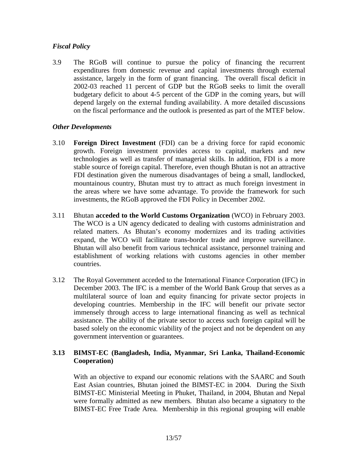## *Fiscal Policy*

3.9 The RGoB will continue to pursue the policy of financing the recurrent expenditures from domestic revenue and capital investments through external assistance, largely in the form of grant financing. The overall fiscal deficit in 2002-03 reached 11 percent of GDP but the RGoB seeks to limit the overall budgetary deficit to about 4-5 percent of the GDP in the coming years, but will depend largely on the external funding availability. A more detailed discussions on the fiscal performance and the outlook is presented as part of the MTEF below.

## *Other Developments*

- 3.10 **Foreign Direct Investment** (FDI) can be a driving force for rapid economic growth. Foreign investment provides access to capital, markets and new technologies as well as transfer of managerial skills. In addition, FDI is a more stable source of foreign capital. Therefore, even though Bhutan is not an attractive FDI destination given the numerous disadvantages of being a small, landlocked, mountainous country, Bhutan must try to attract as much foreign investment in the areas where we have some advantage. To provide the framework for such investments, the RGoB approved the FDI Policy in December 2002.
- 3.11 Bhutan **acceded to the World Customs Organization** (WCO) in February 2003. The WCO is a UN agency dedicated to dealing with customs administration and related matters. As Bhutan's economy modernizes and its trading activities expand, the WCO will facilitate trans-border trade and improve surveillance. Bhutan will also benefit from various technical assistance, personnel training and establishment of working relations with customs agencies in other member countries.
- 3.12 The Royal Government acceded to the International Finance Corporation (IFC) in December 2003. The IFC is a member of the World Bank Group that serves as a multilateral source of loan and equity financing for private sector projects in developing countries. Membership in the IFC will benefit our private sector immensely through access to large international financing as well as technical assistance. The ability of the private sector to access such foreign capital will be based solely on the economic viability of the project and not be dependent on any government intervention or guarantees.

## **3.13 BIMST-EC (Bangladesh, India, Myanmar, Sri Lanka, Thailand-Economic Cooperation)**

With an objective to expand our economic relations with the SAARC and South East Asian countries, Bhutan joined the BIMST-EC in 2004. During the Sixth BIMST-EC Ministerial Meeting in Phuket, Thailand, in 2004, Bhutan and Nepal were formally admitted as new members. Bhutan also became a signatory to the BIMST-EC Free Trade Area. Membership in this regional grouping will enable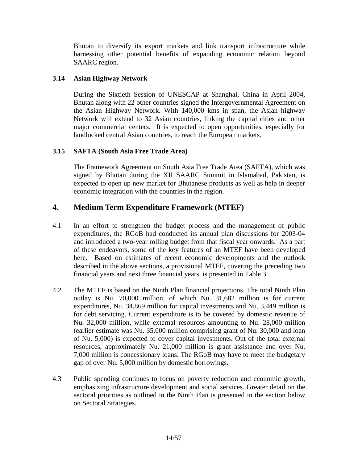Bhutan to diversify its export markets and link transport infrastructure while harnessing other potential benefits of expanding economic relation beyond SAARC region.

#### **3.14 Asian Highway Network**

During the Sixtieth Session of UNESCAP at Shanghai, China in April 2004, Bhutan along with 22 other countries signed the Intergovernmental Agreement on the Asian Highway Network. With 140,000 kms in span, the Asian highway Network will extend to 32 Asian countries, linking the capital cities and other major commercial centers. It is expected to open opportunities, especially for landlocked central Asian countries, to reach the European markets.

## **3.15 SAFTA (South Asia Free Trade Area)**

The Framework Agreement on South Asia Free Trade Area (SAFTA), which was signed by Bhutan during the XII SAARC Summit in Islamabad, Pakistan, is expected to open up new market for Bhutanese products as well as help in deeper economic integration with the countries in the region.

# **4. Medium Term Expenditure Framework (MTEF)**

- 4.1 In an effort to strengthen the budget process and the management of public expenditures, the RGoB had conducted its annual plan discussions for 2003-04 and introduced a two-year rolling budget from that fiscal year onwards. As a part of these endeavors, some of the key features of an MTEF have been developed here. Based on estimates of recent economic developments and the outlook described in the above sections, a provisional MTEF, covering the preceding two financial years and next three financial years, is presented in Table 3.
- 4.2 The MTEF is based on the Ninth Plan financial projections. The total Ninth Plan outlay is Nu. 70,000 million, of which Nu. 31,682 million is for current expenditures, Nu. 34,869 million for capital investments and Nu. 3,449 million is for debt servicing. Current expenditure is to be covered by domestic revenue of Nu. 32,000 million, while external resources amounting to Nu. 28,000 million (earlier estimate was Nu. 35,000 million comprising grant of Nu. 30,000 and loan of Nu. 5,000) is expected to cover capital investments. Out of the total external resources, approximately Nu. 21,000 million is grant assistance and over Nu. 7,000 million is concessionary loans. The RGoB may have to meet the budgetary gap of over Nu. 5,000 million by domestic borrowings.
- 4.3 Public spending continues to focus on poverty reduction and economic growth, emphasizing infrastructure development and social services. Greater detail on the sectoral priorities as outlined in the Ninth Plan is presented in the section below on Sectoral Strategies.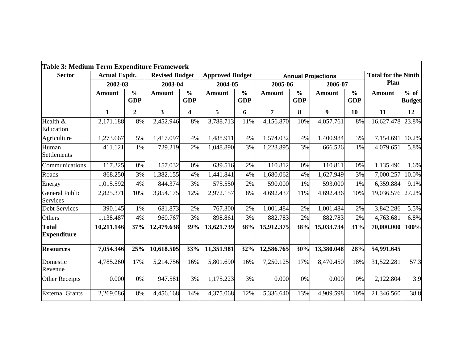| Table 3: Medium Term Expenditure Framework |                      |                             |                         |                             |                        |                             |                |                             |                           |                             |                            |                         |
|--------------------------------------------|----------------------|-----------------------------|-------------------------|-----------------------------|------------------------|-----------------------------|----------------|-----------------------------|---------------------------|-----------------------------|----------------------------|-------------------------|
| <b>Sector</b>                              | <b>Actual Expdt.</b> |                             | <b>Revised Budget</b>   |                             | <b>Approved Budget</b> |                             |                |                             | <b>Annual Projections</b> |                             | <b>Total for the Ninth</b> |                         |
|                                            | 2002-03              |                             | 2003-04                 |                             | 2004-05                |                             | 2005-06        |                             | 2006-07                   |                             | Plan                       |                         |
|                                            | <b>Amount</b>        | $\frac{0}{0}$<br><b>GDP</b> | <b>Amount</b>           | $\frac{0}{0}$<br><b>GDP</b> | <b>Amount</b>          | $\frac{0}{0}$<br><b>GDP</b> | <b>Amount</b>  | $\frac{0}{0}$<br><b>GDP</b> | <b>Amount</b>             | $\frac{0}{0}$<br><b>GDP</b> | <b>Amount</b>              | $%$ of<br><b>Budget</b> |
|                                            | 1                    | $\boldsymbol{2}$            | $\overline{\mathbf{3}}$ | 4                           | 5                      | 6                           | $\overline{7}$ | 8                           | 9                         | 10                          | 11                         | 12                      |
| Health &<br>Education                      | 2,171.188            | 8%                          | 2,452.946               | 8%                          | 3,788.713              | 11%                         | 4,156.870      | 10%                         | 4,057.761                 | 8%                          | 16,627.478                 | 23.8%                   |
| Agriculture                                | 1,273.667            | 5%                          | 1,417.097               | 4%                          | 1,488.911              | 4%                          | 1,574.032      | 4%                          | 1,400.984                 | 3%                          | 7,154.691                  | 10.2%                   |
| Human<br>Settlements                       | 411.121              | 1%                          | 729.219                 | 2%                          | 1,048.890              | 3%                          | 1,223.895      | 3%                          | 666.526                   | 1%                          | 4,079.651                  | 5.8%                    |
| Communications                             | 117.325              | 0%                          | 157.032                 | 0%                          | 639.516                | 2%                          | 110.812        | 0%                          | 110.811                   | 0%                          | 1,135.496                  | 1.6%                    |
| Roads                                      | 868.250              | 3%                          | 1,382.155               | 4%                          | 1,441.841              | 4%                          | 1,680.062      | 4%                          | 1,627.949                 | 3%                          | 7,000.257                  | 10.0%                   |
| Energy                                     | 1,015.592            | 4%                          | 844.374                 | 3%                          | 575.550                | 2%                          | 590.000        | 1%                          | 593.000                   | 1%                          | 6,359.884                  | 9.1%                    |
| General Public<br><b>Services</b>          | 2,825.371            | 10%                         | 3,854.175               | 12%                         | 2,972.157              | 8%                          | 4,692.437      | 11%                         | 4,692.436                 | 10%                         | 19,036.576                 | 27.2%                   |
| <b>Debt Services</b>                       | 390.145              | 1%                          | 681.873                 | 2%                          | 767.300                | 2%                          | 1,001.484      | 2%                          | 1,001.484                 | 2%                          | 3,842.286                  | 5.5%                    |
| Others                                     | 1,138.487            | 4%                          | 960.767                 | 3%                          | 898.861                | 3%                          | 882.783        | 2%                          | 882.783                   | 2%                          | 4,763.681                  | 6.8%                    |
| <b>Total</b><br><b>Expenditure</b>         | 10,211.146           | 37%                         | 12,479.638              | 39%                         | 13,621.739             | 38%                         | 15,912.375     | 38%                         | 15,033.734                | 31%                         | 70,000.000                 | 100%                    |
| <b>Resources</b>                           | 7,054.346            | 25%                         | 10,618.505              | 33%                         | 11,351.981             | 32%                         | 12,586.765     | 30%                         | 13,380.048                | 28%                         | 54,991.645                 |                         |
| Domestic<br>Revenue                        | 4,785.260            | 17%                         | 5,214.756               | 16%                         | 5,801.690              | 16%                         | 7,250.125      | 17%                         | 8,470.450                 | 18%                         | 31,522.281                 | 57.3                    |
| Other Receipts                             | 0.000                | 0%                          | 947.581                 | 3%                          | 1,175.223              | 3%                          | 0.000          | 0%                          | 0.000                     | 0%                          | 2,122.804                  | 3.9                     |
| <b>External Grants</b>                     | 2,269.086            | 8%                          | 4,456.168               | 14%                         | 4,375.068              | 12%                         | 5,336.640      | 13%                         | 4,909.598                 | 10%                         | 21,346.560                 | 38.8                    |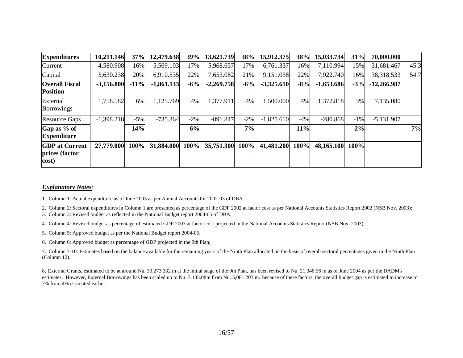| <b>Expenditures</b>                              | 10,211.146   | 37%    | 12,479.638   | 39%    | 13,621.739   | 38%    | 15,912.375   | 38%    | 15,033.734   | 31%    | 70,000.000    |       |
|--------------------------------------------------|--------------|--------|--------------|--------|--------------|--------|--------------|--------|--------------|--------|---------------|-------|
| Current                                          | 4,580.908    | 16%    | 5,569.103    | 17%    | 5,968.657    | 17%    | 6,761.337    | 16%    | 7,110.994    | 15%    | 31,681.467    | 45.3  |
| Capital                                          | 5,630.238    | 20%    | 6,910.535    | 22%    | 7,653.082    | 21%    | 9,151.038    | 22%    | 7,922.740    | 16%    | 38,318.533    | 54.7  |
| <b>Overall Fiscal</b><br><b>Position</b>         | $-3,156.800$ | $-11%$ | $-1,861.133$ | $-6%$  | $-2,269.758$ | $-6%$  | $-3,325.610$ | $-8%$  | $-1,653.686$ | $-3%$  | $-12,266.987$ |       |
| External<br><b>Borrowings</b>                    | 1,758.582    | 6%     | 1,125.769    | 4%     | 1,377.911    | 4%     | 1,500.000    | 4%     | 1,372.818    | 3%     | 7,135.080     |       |
| <b>Resource Gaps</b>                             | $-1,398.218$ | $-5%$  | $-735.364$   | $-2\%$ | $-891.847$   | $-2\%$ | $-1,825.610$ | $-4%$  | $-280.868$   | $-1\%$ | $-5,131.907$  |       |
| Gap as % of<br><b>Expenditure</b>                |              | $-14%$ |              | $-6%$  |              | $-7%$  |              | $-11%$ |              | $-2\%$ |               | $-7%$ |
| <b>GDP</b> at Current<br>prices (factor<br>cost) | 27,779.000   | 100%   | 31,884.000   | 100%   | 35,751.300   | 100%   | 41,481.200   | 100%   | 48,165.100   | 100%   |               |       |

#### *Explanatory Notes*:

1. Column 1: Actual expenditure as of June 2003 as per Annual Accounts for 2002-03 of DBA.

2. Column 2: Sectoral expenditures in Column 1 are presented as percentage of the GDP 2002 at factor cost as per National Accounts Statistics Report 2002 (NSB Nov. 2003);

3. Column 3: Revised budget as reflected in the National Budget report 2004-05 of DBA;

4. Column 4: Revised budget as percentage of estimated GDP 2003 at factor cost projected in the National Accounts Statistics Report (NSB Nov. 2003);

5. Column 5: Approved budget as per the National Budget report 2004-05;

6. Column 6: Approved budget as percentage of GDP projected in the 9th Plan;

7. Column 7-10: Estimates based on the balance available for the remaining years of the Ninth Plan allocated on the basis of overall sectoral percentages given in the Ninth Plan (Column 12).

8. External Grants, estimated to be at around Nu. 30,273.332 m at the initial stage of the 9th Plan, has been revised to Nu. 21,346.56 m as of June 2004 as per the DADM's estimates. However, External Borrowings has been scaled up to Nu. 7,135.08m from Nu. 5,081.203 m. Because of these factors, the overall budget gap is estimated to increase to 7% from 4% estimated earlier.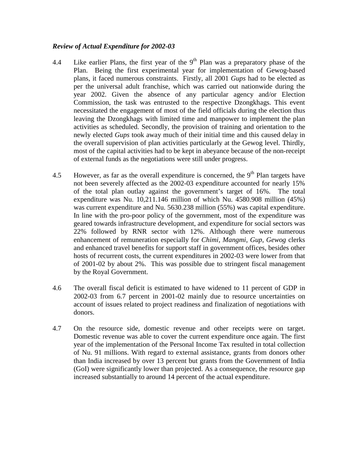#### *Review of Actual Expenditure for 2002-03*

- 4.4 Like earlier Plans, the first year of the  $9<sup>th</sup>$  Plan was a preparatory phase of the Plan. Being the first experimental year for implementation of Gewog-based plans, it faced numerous constraints. Firstly, all 2001 *Gups* had to be elected as per the universal adult franchise, which was carried out nationwide during the year 2002. Given the absence of any particular agency and/or Election Commission, the task was entrusted to the respective Dzongkhags. This event necessitated the engagement of most of the field officials during the election thus leaving the Dzongkhags with limited time and manpower to implement the plan activities as scheduled. Secondly, the provision of training and orientation to the newly elected *Gups* took away much of their initial time and this caused delay in the overall supervision of plan activities particularly at the Gewog level. Thirdly, most of the capital activities had to be kept in abeyance because of the non-receipt of external funds as the negotiations were still under progress.
- 4.5 However, as far as the overall expenditure is concerned, the  $9<sup>th</sup>$  Plan targets have not been severely affected as the 2002-03 expenditure accounted for nearly 15% of the total plan outlay against the government's target of 16%. The total expenditure was Nu. 10,211.146 million of which Nu. 4580.908 million (45%) was current expenditure and Nu. 5630.238 million (55%) was capital expenditure. In line with the pro-poor policy of the government, most of the expenditure was geared towards infrastructure development, and expenditure for social sectors was 22% followed by RNR sector with 12%. Although there were numerous enhancement of remuneration especially for *Chimi, Mangmi*, *Gup*, *Gewog* clerks and enhanced travel benefits for support staff in government offices, besides other hosts of recurrent costs, the current expenditures in 2002-03 were lower from that of 2001-02 by about 2%. This was possible due to stringent fiscal management by the Royal Government.
- 4.6 The overall fiscal deficit is estimated to have widened to 11 percent of GDP in 2002-03 from 6.7 percent in 2001-02 mainly due to resource uncertainties on account of issues related to project readiness and finalization of negotiations with donors.
- 4.7 On the resource side, domestic revenue and other receipts were on target. Domestic revenue was able to cover the current expenditure once again. The first year of the implementation of the Personal Income Tax resulted in total collection of Nu. 91 millions. With regard to external assistance, grants from donors other than India increased by over 13 percent but grants from the Government of India (GoI) were significantly lower than projected. As a consequence, the resource gap increased substantially to around 14 percent of the actual expenditure.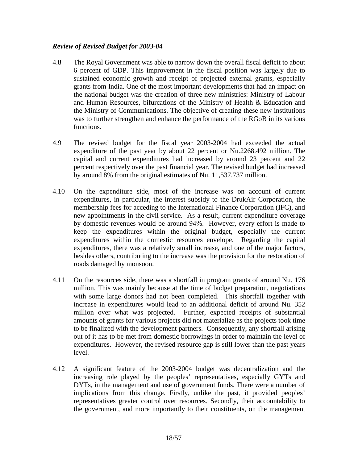#### *Review of Revised Budget for 2003-04*

- 4.8 The Royal Government was able to narrow down the overall fiscal deficit to about 6 percent of GDP. This improvement in the fiscal position was largely due to sustained economic growth and receipt of projected external grants, especially grants from India. One of the most important developments that had an impact on the national budget was the creation of three new ministries: Ministry of Labour and Human Resources, bifurcations of the Ministry of Health & Education and the Ministry of Communications. The objective of creating these new institutions was to further strengthen and enhance the performance of the RGoB in its various functions.
- 4.9 The revised budget for the fiscal year 2003-2004 had exceeded the actual expenditure of the past year by about 22 percent or Nu.2268.492 million. The capital and current expenditures had increased by around 23 percent and 22 percent respectively over the past financial year. The revised budget had increased by around 8% from the original estimates of Nu. 11,537.737 million.
- 4.10 On the expenditure side, most of the increase was on account of current expenditures, in particular, the interest subsidy to the DrukAir Corporation, the membership fees for acceding to the International Finance Corporation (IFC), and new appointments in the civil service. As a result, current expenditure coverage by domestic revenues would be around 94%. However, every effort is made to keep the expenditures within the original budget, especially the current expenditures within the domestic resources envelope. Regarding the capital expenditures, there was a relatively small increase, and one of the major factors, besides others, contributing to the increase was the provision for the restoration of roads damaged by monsoon.
- 4.11 On the resources side, there was a shortfall in program grants of around Nu. 176 million. This was mainly because at the time of budget preparation, negotiations with some large donors had not been completed. This shortfall together with increase in expenditures would lead to an additional deficit of around Nu. 352 million over what was projected. Further, expected receipts of substantial amounts of grants for various projects did not materialize as the projects took time to be finalized with the development partners. Consequently, any shortfall arising out of it has to be met from domestic borrowings in order to maintain the level of expenditures. However, the revised resource gap is still lower than the past years level.
- 4.12 A significant feature of the 2003-2004 budget was decentralization and the increasing role played by the peoples' representatives, especially GYTs and DYTs, in the management and use of government funds. There were a number of implications from this change. Firstly, unlike the past, it provided peoples' representatives greater control over resources. Secondly, their accountability to the government, and more importantly to their constituents, on the management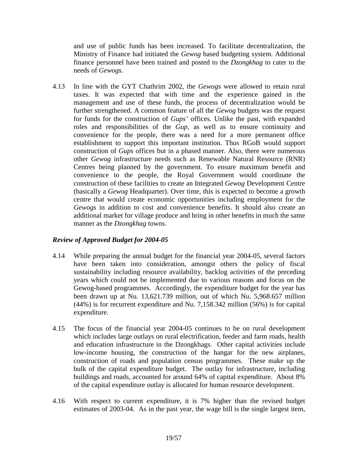and use of public funds has been increased. To facilitate decentralization, the Ministry of Finance had initiated the *Gewog* based budgeting system. Additional finance personnel have been trained and posted to the *Dzongkhag* to cater to the needs of *Gewogs*.

4.13 In line with the GYT Chathrim 2002, the *Gewogs* were allowed to retain rural taxes. It was expected that with time and the experience gained in the management and use of these funds, the process of decentralization would be further strengthened. A common feature of all the *Gewog* budgets was the request for funds for the construction of *Gups'* offices. Unlike the past, with expanded roles and responsibilities of the *Gup*, as well as to ensure continuity and convenience for the people, there was a need for a more permanent office establishment to support this important institution. Thus RGoB would support construction of *Gups* offices but in a phased manner. Also, there were numerous other *Gewog* infrastructure needs such as Renewable Natural Resource (RNR) Centres being planned by the government. To ensure maximum benefit and convenience to the people, the Royal Government would coordinate the construction of these facilities to create an Integrated *Gewog* Development Centre (basically a *Gewog* Headquarter). Over time, this is expected to become a growth centre that would create economic opportunities including employment for the *Gewogs* in addition to cost and convenience benefits. It should also create an additional market for village produce and bring in other benefits in much the same manner as the *Dzongkhag* towns.

## *Review of Approved Budget for 2004-05*

- 4.14 While preparing the annual budget for the financial year 2004-05, several factors have been taken into consideration, amongst others the policy of fiscal sustainability including resource availability, backlog activities of the preceding years which could not be implemented due to various reasons and focus on the Gewog-based programmes. Accordingly, the expenditure budget for the year has been drawn up at Nu. 13,621.739 million, out of which Nu. 5,968.657 million (44%) is for recurrent expenditure and Nu. 7,158.342 million (56%) is for capital expenditure.
- 4.15 The focus of the financial year 2004-05 continues to be on rural development which includes large outlays on rural electrification, feeder and farm roads, health and education infrastructure in the Dzongkhags. Other capital activities include low-income housing, the construction of the hangar for the new airplanes, construction of roads and population census programmes. These make up the bulk of the capital expenditure budget. The outlay for infrastructure, including buildings and roads, accounted for around 64% of capital expenditure. About 8% of the capital expenditure outlay is allocated for human resource development.
- 4.16 With respect to current expenditure, it is 7% higher than the revised budget estimates of 2003-04. As in the past year, the wage bill is the single largest item,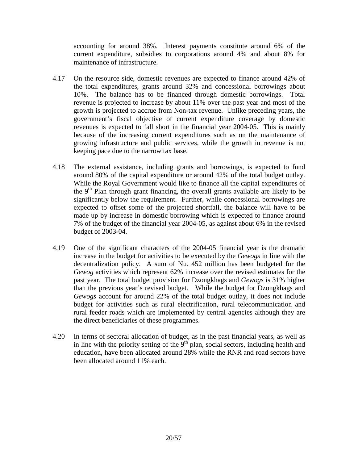accounting for around 38%. Interest payments constitute around 6% of the current expenditure, subsidies to corporations around 4% and about 8% for maintenance of infrastructure.

- 4.17 On the resource side, domestic revenues are expected to finance around 42% of the total expenditures, grants around 32% and concessional borrowings about 10%. The balance has to be financed through domestic borrowings. Total revenue is projected to increase by about 11% over the past year and most of the growth is projected to accrue from Non-tax revenue. Unlike preceding years, the government's fiscal objective of current expenditure coverage by domestic revenues is expected to fall short in the financial year 2004-05. This is mainly because of the increasing current expenditures such as on the maintenance of growing infrastructure and public services, while the growth in revenue is not keeping pace due to the narrow tax base.
- 4.18 The external assistance, including grants and borrowings, is expected to fund around 80% of the capital expenditure or around 42% of the total budget outlay. While the Royal Government would like to finance all the capital expenditures of the  $9<sup>th</sup>$  Plan through grant financing, the overall grants available are likely to be significantly below the requirement. Further, while concessional borrowings are expected to offset some of the projected shortfall, the balance will have to be made up by increase in domestic borrowing which is expected to finance around 7% of the budget of the financial year 2004-05, as against about 6% in the revised budget of 2003-04.
- 4.19 One of the significant characters of the 2004-05 financial year is the dramatic increase in the budget for activities to be executed by the *Gewogs* in line with the decentralization policy. A sum of Nu. 452 million has been budgeted for the *Gewog* activities which represent 62% increase over the revised estimates for the past year. The total budget provision for Dzongkhags and *Gewogs* is 31% higher than the previous year's revised budget. While the budget for Dzongkhags and *Gewogs* account for around 22% of the total budget outlay, it does not include budget for activities such as rural electrification, rural telecommunication and rural feeder roads which are implemented by central agencies although they are the direct beneficiaries of these programmes.
- 4.20 In terms of sectoral allocation of budget, as in the past financial years, as well as in line with the priority setting of the  $9<sup>th</sup>$  plan, social sectors, including health and education, have been allocated around 28% while the RNR and road sectors have been allocated around 11% each.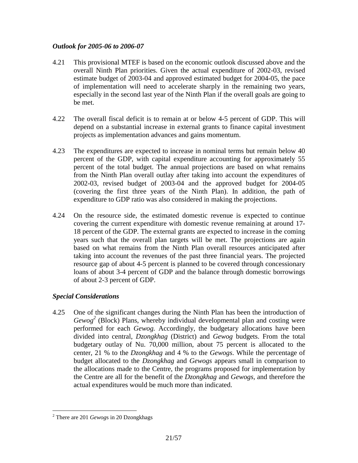## *Outlook for 2005-06 to 2006-07*

- 4.21 This provisional MTEF is based on the economic outlook discussed above and the overall Ninth Plan priorities. Given the actual expenditure of 2002-03, revised estimate budget of 2003-04 and approved estimated budget for 2004-05, the pace of implementation will need to accelerate sharply in the remaining two years, especially in the second last year of the Ninth Plan if the overall goals are going to be met.
- 4.22 The overall fiscal deficit is to remain at or below 4-5 percent of GDP. This will depend on a substantial increase in external grants to finance capital investment projects as implementation advances and gains momentum.
- 4.23 The expenditures are expected to increase in nominal terms but remain below 40 percent of the GDP, with capital expenditure accounting for approximately 55 percent of the total budget. The annual projections are based on what remains from the Ninth Plan overall outlay after taking into account the expenditures of 2002-03, revised budget of 2003-04 and the approved budget for 2004-05 (covering the first three years of the Ninth Plan). In addition, the path of expenditure to GDP ratio was also considered in making the projections.
- 4.24 On the resource side, the estimated domestic revenue is expected to continue covering the current expenditure with domestic revenue remaining at around 17- 18 percent of the GDP. The external grants are expected to increase in the coming years such that the overall plan targets will be met. The projections are again based on what remains from the Ninth Plan overall resources anticipated after taking into account the revenues of the past three financial years. The projected resource gap of about 4-5 percent is planned to be covered through concessionary loans of about 3-4 percent of GDP and the balance through domestic borrowings of about 2-3 percent of GDP.

## *Special Considerations*

4.25 One of the significant changes during the Ninth Plan has been the introduction of *Gewog<sup>2</sup>* (Block) Plans, whereby individual developmental plan and costing were performed for each *Gewog.* Accordingly, the budgetary allocations have been divided into central, *Dzongkhag* (District) and *Gewog* budgets. From the total budgetary outlay of Nu. 70,000 million, about 75 percent is allocated to the center, 21 % to the *Dzongkhag* and 4 % to the *Gewogs*. While the percentage of budget allocated to the *Dzongkhag* and *Gewogs* appears small in comparison to the allocations made to the Centre, the programs proposed for implementation by the Centre are all for the benefit of the *Dzongkhag* and *Gewogs,* and therefore the actual expenditures would be much more than indicated.

1

<sup>2</sup> There are 201 *Gewog*s in 20 Dzongkhags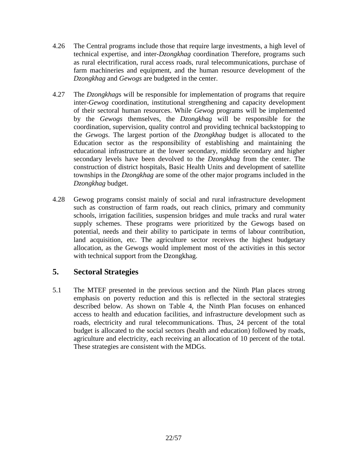- 4.26 The Central programs include those that require large investments, a high level of technical expertise, and inter-*Dzongkhag* coordination Therefore, programs such as rural electrification, rural access roads, rural telecommunications, purchase of farm machineries and equipment, and the human resource development of the *Dzongkhag* and *Gewogs* are budgeted in the center.
- 4.27 The *Dzongkhag*s will be responsible for implementation of programs that require inter-*Gewog* coordination, institutional strengthening and capacity development of their sectoral human resources. While *Gewog* programs will be implemented by the *Gewogs* themselves, the *Dzongkhag* will be responsible for the coordination, supervision, quality control and providing technical backstopping to the *Gewogs*. The largest portion of the *Dzongkhag* budget is allocated to the Education sector as the responsibility of establishing and maintaining the educational infrastructure at the lower secondary, middle secondary and higher secondary levels have been devolved to the *Dzongkhag* from the center. The construction of district hospitals, Basic Health Units and development of satellite townships in the *Dzongkhag* are some of the other major programs included in the *Dzongkhag* budget.
- 4.28 Gewog programs consist mainly of social and rural infrastructure development such as construction of farm roads, out reach clinics, primary and community schools, irrigation facilities, suspension bridges and mule tracks and rural water supply schemes. These programs were prioritized by the Gewogs based on potential, needs and their ability to participate in terms of labour contribution, land acquisition, etc. The agriculture sector receives the highest budgetary allocation, as the Gewogs would implement most of the activities in this sector with technical support from the Dzongkhag.

# **5. Sectoral Strategies**

5.1 The MTEF presented in the previous section and the Ninth Plan places strong emphasis on poverty reduction and this is reflected in the sectoral strategies described below. As shown on Table 4, the Ninth Plan focuses on enhanced access to health and education facilities, and infrastructure development such as roads, electricity and rural telecommunications. Thus, 24 percent of the total budget is allocated to the social sectors (health and education) followed by roads, agriculture and electricity, each receiving an allocation of 10 percent of the total. These strategies are consistent with the MDGs.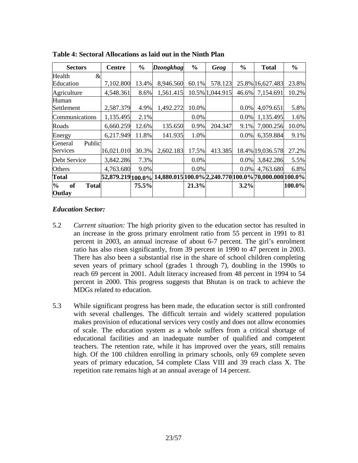| <b>Sectors</b>                                       | <b>Centre</b>     | $\frac{0}{0}$ | <b>Dzongkhag</b>                                     | $\frac{0}{0}$ | Geog            | $\frac{6}{6}$ | <b>Total</b>     | $\frac{6}{6}$ |
|------------------------------------------------------|-------------------|---------------|------------------------------------------------------|---------------|-----------------|---------------|------------------|---------------|
| Health<br>$\&$                                       |                   |               |                                                      |               |                 |               |                  |               |
| Education                                            | 7,102.800         | 13.4%         | 8,946.560                                            | 60.1%         | 578.123         |               | 25.8% 16,627.483 | 23.8%         |
| Agriculture                                          | 4,548.361         | 8.6%          | 1,561.415                                            |               | 10.5% 1,044.915 | 46.6%         | 7,154.691        | 10.2%         |
| Human                                                |                   |               |                                                      |               |                 |               |                  |               |
| Settlement                                           | 2,587.379         | 4.9%          | 1,492.272                                            | 10.0%         |                 | $0.0\%$       | 4,079.651        | 5.8%          |
| Communications                                       | 1,135.495         | 2.1%          |                                                      | 0.0%          |                 | 0.0%          | 1,135.495        | 1.6%          |
| Roads                                                | 6,660.259         | 12.6%         | 135.650                                              | 0.9%          | 204.347         | 9.1%          | 7,000.256        | 10.0%         |
| Energy                                               | 6,217.949         | 11.8%         | 141.935                                              | 1.0%          |                 | 0.0%          | 6,359.884        | 9.1%          |
| Public<br>General                                    |                   |               |                                                      |               |                 |               |                  |               |
| Services                                             | 16,021.010        | 30.3%         | 2,602.183                                            | 17.5%         | 413.385         |               | 18.4% 19,036.578 | 27.2%         |
| Debt Service                                         | 3,842.286         | 7.3%          |                                                      | 0.0%          |                 | 0.0%          | 3,842.286        | 5.5%          |
| Others                                               | 4,763.680         | 9.0%          |                                                      | 0.0%          |                 | 0.0%          | 4,763.680        | 6.8%          |
| <b>Total</b>                                         | 52,879.219 100.0% |               | 14,880.015 100.0% 2,240.770 100.0% 70,000.000 100.0% |               |                 |               |                  |               |
| $\frac{1}{2}$<br><b>of</b><br><b>Total</b><br>Outlay |                   | 75.5%         |                                                      | 21.3%         |                 | 3.2%          |                  | 100.0%        |

**Table 4: Sectoral Allocations as laid out in the Ninth Plan** 

## *Education Sector:*

- 5.2 *Current situation:* The high priority given to the education sector has resulted in an increase in the gross primary enrolment ratio from 55 percent in 1991 to 81 percent in 2003, an annual increase of about 6-7 percent. The girl's enrolment ratio has also risen significantly, from 39 percent in 1990 to 47 percent in 2003. There has also been a substantial rise in the share of school children completing seven years of primary school (grades 1 through 7), doubling in the 1990s to reach 69 percent in 2001. Adult literacy increased from 48 percent in 1994 to 54 percent in 2000. This progress suggests that Bhutan is on track to achieve the MDGs related to education.
- 5.3 While significant progress has been made, the education sector is still confronted with several challenges. The difficult terrain and widely scattered population makes provision of educational services very costly and does not allow economies of scale. The education system as a whole suffers from a critical shortage of educational facilities and an inadequate number of qualified and competent teachers. The retention rate, while it has improved over the years, still remains high. Of the 100 children enrolling in primary schools, only 69 complete seven years of primary education, 54 complete Class VIII and 39 reach class X. The repetition rate remains high at an annual average of 14 percent.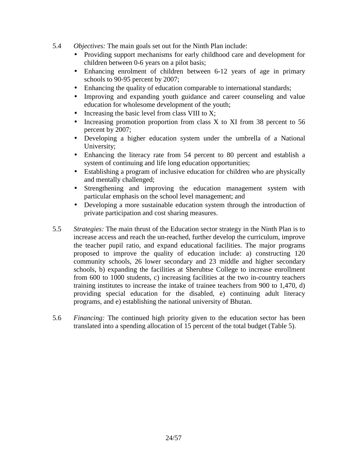- 5.4 *Objectives:* The main goals set out for the Ninth Plan include:
	- Providing support mechanisms for early childhood care and development for children between 0-6 years on a pilot basis;
	- Enhancing enrolment of children between 6-12 years of age in primary schools to 90-95 percent by 2007;
	- Enhancing the quality of education comparable to international standards;
	- Improving and expanding youth guidance and career counseling and value education for wholesome development of the youth;
	- Increasing the basic level from class VIII to X;
	- Increasing promotion proportion from class X to XI from 38 percent to 56 percent by 2007;
	- Developing a higher education system under the umbrella of a National University;
	- Enhancing the literacy rate from 54 percent to 80 percent and establish a system of continuing and life long education opportunities;
	- Establishing a program of inclusive education for children who are physically and mentally challenged;
	- Strengthening and improving the education management system with particular emphasis on the school level management; and
	- Developing a more sustainable education system through the introduction of private participation and cost sharing measures.
- 5.5 *Strategies:* The main thrust of the Education sector strategy in the Ninth Plan is to increase access and reach the un-reached, further develop the curriculum, improve the teacher pupil ratio, and expand educational facilities. The major programs proposed to improve the quality of education include: a) constructing 120 community schools, 26 lower secondary and 23 middle and higher secondary schools, b) expanding the facilities at Sherubtse College to increase enrollment from 600 to 1000 students, c) increasing facilities at the two in-country teachers training institutes to increase the intake of trainee teachers from 900 to 1,470, d) providing special education for the disabled, e) continuing adult literacy programs, and e) establishing the national university of Bhutan.
- 5.6 *Financing:* The continued high priority given to the education sector has been translated into a spending allocation of 15 percent of the total budget (Table 5).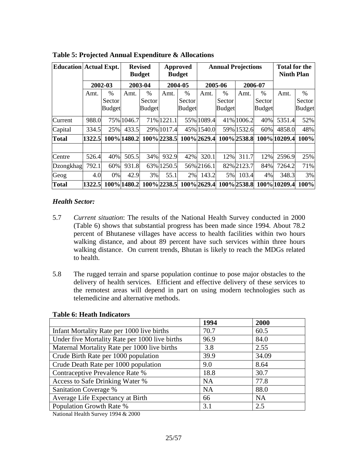| <b>Education Actual Expt.</b> |        | <b>Revised</b><br><b>Budget</b> |             |               |             | Approved<br><b>Budget</b> |             | <b>Annual Projections</b> |             |               | <b>Total for the</b><br><b>Ninth Plan</b> |               |
|-------------------------------|--------|---------------------------------|-------------|---------------|-------------|---------------------------|-------------|---------------------------|-------------|---------------|-------------------------------------------|---------------|
|                               |        | 2002-03                         | 2003-04     |               | 2004-05     |                           |             | 2005-06                   |             | 2006-07       |                                           |               |
|                               | Amt.   | $\%$                            | Amt.        | $\frac{0}{0}$ | Amt.        | $\%$                      | Amt.        | $\frac{0}{0}$             | Amt.        | $\frac{0}{0}$ | Amt.                                      | $\%$          |
|                               |        | Sector                          |             | Sector        |             | Sector                    |             | Sector                    |             | Sector        |                                           | Sector        |
|                               |        | <b>Budget</b>                   |             | <b>Budget</b> |             | <b>Budget</b>             |             | <b>Budget</b>             |             | <b>Budget</b> |                                           | <b>Budget</b> |
| Current                       | 988.0  |                                 | 75% 1046.7  |               | 71% 1221.1  |                           | 55% 1089.4  |                           | 41% 1006.2  | 40%           | 5351.4                                    | 52%           |
| Capital                       | 334.5  | 25%                             | 433.5       |               | 29% 1017.4  |                           | 45% 1540.0  |                           | 59% 1532.6  | 60%           | 4858.0                                    | 48%           |
| <b>Total</b>                  | 1322.5 |                                 | 100% 1480.2 |               | 100% 2238.5 |                           | 100% 2629.4 |                           | 100% 2538.8 |               | 100% 10209.4                              | 100%          |
|                               |        |                                 |             |               |             |                           |             |                           |             |               |                                           |               |
| Centre                        | 526.4  | 40%                             | 505.5       | 34%           | 932.9       | 42%                       | 320.1       | 12%                       | 311.7       | 12%           | 2596.9                                    | 25%           |
| <b>Dzongkhag</b>              | 792.1  | 60%                             | 931.8       |               | 63% 1250.5  |                           | 56% 2166.1  |                           | 82% 2123.7  | 84%           | 7264.2                                    | 71%           |
| Geog                          | 4.0    | 0%                              | 42.9        | 3%            | 55.1        | 2%                        | 143.2       | 5%                        | 103.4       | 4%            | 348.3                                     | 3%            |
| <b>Total</b>                  | 1322.5 |                                 | 100% 1480.2 |               | 100%2238.5  |                           | 100% 2629.4 |                           | 100% 2538.8 |               | 100% 10209.4                              | 100%          |

**Table 5: Projected Annual Expenditure & Allocations**

## *Health Sector:*

- 5.7 *Current situation*: The results of the National Health Survey conducted in 2000 (Table 6) shows that substantial progress has been made since 1994. About 78.2 percent of Bhutanese villages have access to health facilities within two hours walking distance, and about 89 percent have such services within three hours walking distance. On current trends, Bhutan is likely to reach the MDGs related to health.
- 5.8 The rugged terrain and sparse population continue to pose major obstacles to the delivery of health services. Efficient and effective delivery of these services to the remotest areas will depend in part on using modern technologies such as telemedicine and alternative methods.

|                                                | 1994      | 2000      |
|------------------------------------------------|-----------|-----------|
| Infant Mortality Rate per 1000 live births     | 70.7      | 60.5      |
| Under five Mortality Rate per 1000 live births | 96.9      | 84.0      |
| Maternal Mortality Rate per 1000 live births   | 3.8       | 2.55      |
| Crude Birth Rate per 1000 population           | 39.9      | 34.09     |
| Crude Death Rate per 1000 population           | 9.0       | 8.64      |
| Contraceptive Prevalence Rate %                | 18.8      | 30.7      |
| Access to Safe Drinking Water %                | <b>NA</b> | 77.8      |
| <b>Sanitation Coverage %</b>                   | <b>NA</b> | 88.0      |
| Average Life Expectancy at Birth               | 66        | <b>NA</b> |
| Population Growth Rate %                       | 3.1       | 2.5       |

#### **Table 6: Heath Indicators**

National Health Survey 1994 & 2000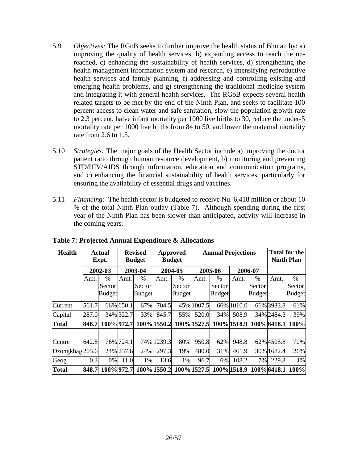- 5.9 *Objectives:* The RGoB seeks to further improve the health status of Bhutan by: a) improving the quality of health services, b) expanding access to reach the unreached, c) enhancing the sustainability of health services, d) strengthening the health management information system and research, e) intensifying reproductive health services and family planning, f) addressing and controlling existing and emerging health problems, and g) strengthening the traditional medicine system and integrating it with general health services. The RGoB expects several health related targets to be met by the end of the Ninth Plan, and seeks to facilitate 100 percent access to clean water and safe sanitation, slow the population growth rate to 2.3 percent, halve infant mortality per 1000 live births to 30, reduce the under-5 mortality rate per 1000 live births from 84 to 50, and lower the maternal mortality rate from 2.6 to 1.5.
- 5.10 *Strategies:* The major goals of the Health Sector include a) improving the doctor patient ratio through human resource development, b) monitoring and preventing STD/HIV/AIDS through information, education and communication programs, and c) enhancing the financial sustainability of health services, particularly for ensuring the availability of essential drugs and vaccines.
- 5.11 *Financing:* The health sector is budgeted to receive Nu. 6,418 million or about 10 % of the total Ninth Plan outlay (Table 7). Although spending during the first year of the Ninth Plan has been slower than anticipated, activity will increase in the coming years.

| <b>Health</b>              | Actual<br>Expt. |               | <b>Revised</b><br><b>Approved</b><br><b>Budget</b><br><b>Budget</b> |               |             |               | <b>Annual Projections</b> |               |             |               | <b>Total for the</b><br><b>Ninth Plan</b> |               |
|----------------------------|-----------------|---------------|---------------------------------------------------------------------|---------------|-------------|---------------|---------------------------|---------------|-------------|---------------|-------------------------------------------|---------------|
|                            |                 | 2002-03       | 2003-04                                                             |               | 2004-05     |               |                           | 2005-06       |             | 2006-07       |                                           |               |
|                            | Amt.            | $\%$          | Amt.                                                                | $\frac{0}{0}$ | Amt.        | $\%$          | Amt.                      | $\%$          | Amt.        | $\%$          | Amt.                                      | $\%$          |
|                            |                 | Sector        |                                                                     | Sector        |             | <b>Sector</b> |                           | Sector        |             | Sector        |                                           | Sector        |
|                            |                 | <b>Budget</b> |                                                                     | <b>Budget</b> |             | <b>Budget</b> |                           | <b>Budget</b> |             | <b>Budget</b> |                                           | <b>Budget</b> |
| Current                    | 561.7           |               | 66% 650.1                                                           | 67%           | 704.5       |               | 45% 1007.5                |               | 66% 1010.0  |               | 66% 3933.8                                | 61%           |
| Capital                    | 287.0           |               | 34% 322.7                                                           | 33%           | 845.7       | 55%           | 520.0                     | 34%           | 508.9       |               | 34% 2484.3                                | 39%           |
| <b>Total</b>               | 848.7           | 100% 972.7    |                                                                     |               | 100% 1550.2 |               | 100% 1527.5               |               | 100% 1518.9 |               | 100%6418.1                                | 100%          |
|                            |                 |               |                                                                     |               |             |               |                           |               |             |               |                                           |               |
| Centre                     | 642.8           |               | 76% 724.1                                                           |               | 74% 1239.3  | 80%           | 950.8                     | 62%           | 948.8       |               | 62% 4505.8                                | 70%           |
| Dzongkhag <sup>205.6</sup> |                 |               | 24% 237.6                                                           | 24%           | 297.3       | 19%           | 480.0                     | 31%           | 461.9       |               | 30% 1682.4                                | 26%           |
| Geog                       | 0.3             | 0%            | 11.0                                                                | 1%            | 13.6        | $1\%$         | 96.7                      | 6%            | 108.2       | 7%            | 229.8                                     | 4%            |
| <b>Total</b>               | 848.7           | 100% 972.7    |                                                                     |               | 100% 1550.2 |               | 100% 1527.5               |               | 100% 1518.9 |               | 100%6418.1                                | 100%          |

**Table 7: Projected Annual Expenditure & Allocations**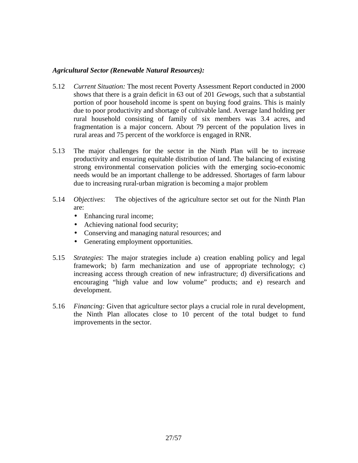#### *Agricultural Sector (Renewable Natural Resources):*

- 5.12 *Current Situation:* The most recent Poverty Assessment Report conducted in 2000 shows that there is a grain deficit in 63 out of 201 *Gewogs*, such that a substantial portion of poor household income is spent on buying food grains. This is mainly due to poor productivity and shortage of cultivable land. Average land holding per rural household consisting of family of six members was 3.4 acres, and fragmentation is a major concern. About 79 percent of the population lives in rural areas and 75 percent of the workforce is engaged in RNR.
- 5.13 The major challenges for the sector in the Ninth Plan will be to increase productivity and ensuring equitable distribution of land. The balancing of existing strong environmental conservation policies with the emerging socio-economic needs would be an important challenge to be addressed. Shortages of farm labour due to increasing rural-urban migration is becoming a major problem
- 5.14 *Objectives*: The objectives of the agriculture sector set out for the Ninth Plan are:
	- Enhancing rural income;
	- Achieving national food security;
	- Conserving and managing natural resources; and
	- Generating employment opportunities.
- 5.15 *Strategies*: The major strategies include a) creation enabling policy and legal framework; b) farm mechanization and use of appropriate technology; c) increasing access through creation of new infrastructure; d) diversifications and encouraging "high value and low volume" products; and e) research and development.
- 5.16 *Financing:* Given that agriculture sector plays a crucial role in rural development, the Ninth Plan allocates close to 10 percent of the total budget to fund improvements in the sector.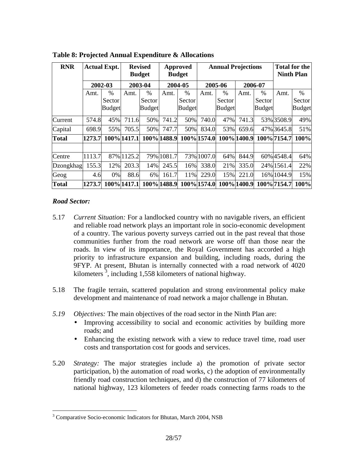| <b>RNR</b>   | <b>Actual Expt.</b> |               |             |               | <b>Revised</b><br><b>Budget</b> |               |             | Approved<br><b>Budget</b> |             | <b>Annual Projections</b> |             |               |  | <b>Total for the</b><br><b>Ninth Plan</b> |
|--------------|---------------------|---------------|-------------|---------------|---------------------------------|---------------|-------------|---------------------------|-------------|---------------------------|-------------|---------------|--|-------------------------------------------|
|              | 2002-03             |               |             | 2003-04       |                                 | 2004-05       |             | 2005-06                   |             | 2006-07                   |             |               |  |                                           |
|              | Amt.                | $\%$          | Amt.        | $\%$          | Amt.                            | $\%$          | Amt.        | %                         | Amt.        | $\%$                      | Amt.        | $\%$          |  |                                           |
|              |                     | Sector        |             | Sector        |                                 | Sector        |             | Sector                    |             | Sector                    |             | Sector        |  |                                           |
|              |                     | <b>Budget</b> |             | <b>Budget</b> |                                 | <b>Budget</b> |             | <b>Budget</b>             |             | <b>Budget</b>             |             | <b>Budget</b> |  |                                           |
| Current      | 574.8               | 45%           | 711.6       | 50%           | 741.2                           | 50%           | 740.0       | 47%                       | 741.3       |                           | 53% 3508.9  | 49%           |  |                                           |
| Capital      | 698.9               | 55%           | 705.5       | 50%           | 747.7                           | 50%           | 834.0       | 53%                       | 659.6       |                           | 47% 3645.8  | 51%           |  |                                           |
| <b>Total</b> | 1273.7              |               | 100% 1417.1 |               | 100% 1488.9                     |               | 100% 1574.0 |                           | 100% 1400.9 |                           | 100%7154.7  | 100%          |  |                                           |
|              |                     |               |             |               |                                 |               |             |                           |             |                           |             |               |  |                                           |
| Centre       | 1113.7              |               | 87% 1125.2  |               | 79% 1081.7                      |               | 73% 1007.0  | 64%                       | 844.9       |                           | 60% 4548.4  | 64%           |  |                                           |
| Dzongkhag    | 155.3               | 12%           | 203.3       | 14%           | 245.5                           | 16%           | 338.0       | 21%                       | 335.0       |                           | 24% 1561.4  | 22%           |  |                                           |
| Geog         | 4.6                 | $0\%$         | 88.6        | 6%            | 161.7                           | 11%           | 229.0       | 15%                       | 221.0       |                           | 16% 1044.9  | 15%           |  |                                           |
| <b>Total</b> | 1273.7              |               | 100% 1417.1 |               | 100% 1488.9                     |               | 100% 1574.0 |                           | 100% 1400.9 |                           | 100% 7154.7 | 100%          |  |                                           |

**Table 8: Projected Annual Expenditure & Allocations**

## *Road Sector:*

1

- 5.17 *Current Situation:* For a landlocked country with no navigable rivers, an efficient and reliable road network plays an important role in socio-economic development of a country. The various poverty surveys carried out in the past reveal that those communities further from the road network are worse off than those near the roads. In view of its importance, the Royal Government has accorded a high priority to infrastructure expansion and building, including roads, during the 9FYP. At present, Bhutan is internally connected with a road network of 4020 kilometers<sup>3</sup>, including 1,558 kilometers of national highway.
- 5.18 The fragile terrain, scattered population and strong environmental policy make development and maintenance of road network a major challenge in Bhutan.
- *5.19 Objectives:* The main objectives of the road sector in the Ninth Plan are:
	- Improving accessibility to social and economic activities by building more roads; and
	- Enhancing the existing network with a view to reduce travel time, road user costs and transportation cost for goods and services.
- 5.20 *Strategy:* The major strategies include a) the promotion of private sector participation, b) the automation of road works, c) the adoption of environmentally friendly road construction techniques, and d) the construction of 77 kilometers of national highway, 123 kilometers of feeder roads connecting farms roads to the

<sup>&</sup>lt;sup>3</sup> Comparative Socio-economic Indicators for Bhutan, March 2004, NSB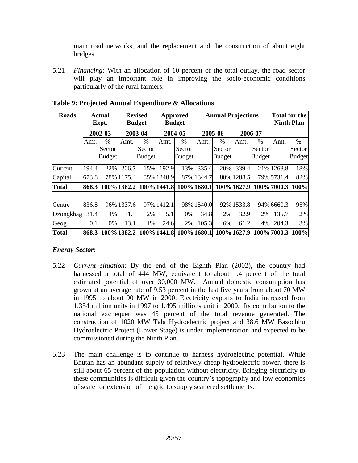main road networks, and the replacement and the construction of about eight bridges.

5.21 *Financing:* With an allocation of 10 percent of the total outlay, the road sector will play an important role in improving the socio-economic conditions particularly of the rural farmers.

| <b>Roads</b> | <b>Actual</b><br>Expt. |               |             | <b>Revised</b><br><b>Budget</b> |             | Approved<br><b>Budget</b> |             | <b>Annual Projections</b>                |             |               |             | <b>Total for the</b><br><b>Ninth Plan</b> |
|--------------|------------------------|---------------|-------------|---------------------------------|-------------|---------------------------|-------------|------------------------------------------|-------------|---------------|-------------|-------------------------------------------|
|              |                        | 2002-03       |             | 2003-04                         |             | 2004-05                   |             | 2005-06                                  |             | 2006-07       |             |                                           |
|              | Amt.                   | $\%$          | Amt.        | $\%$                            | Amt.        | $\frac{0}{0}$             | Amt.        | $\frac{0}{0}$                            | Amt.        | $\%$          | Amt.        | $\%$                                      |
|              |                        | Sector        |             | Sector                          |             | Sector                    |             | Sector                                   |             | Sector        |             | Sector                                    |
|              |                        | <b>Budget</b> |             | <b>Budget</b>                   |             | <b>Budget</b>             |             | <b>Budget</b>                            |             | <b>Budget</b> |             | <b>Budget</b>                             |
| Current      | 194.4                  | 22%           | 206.7       | 15%                             | 192.9       | 13%                       | 335.4       | 20%                                      | 339.4       |               | 21% 1268.8  | 18%                                       |
| Capital      | 673.8                  |               | 78% 1175.4  |                                 | 85% 1248.9  |                           | 87% 1344.7  |                                          | 80% 1288.5  |               | 79% 5731.4  | 82%                                       |
| <b>Total</b> | 868.3                  |               | 100% 1382.2 |                                 | 100% 1441.8 |                           | 100% 1680.1 |                                          | 100% 1627.9 |               | 100% 7000.3 | 100%                                      |
|              |                        |               |             |                                 |             |                           |             |                                          |             |               |             |                                           |
| Centre       | 836.8                  |               | 96% 1337.6  |                                 | 97% 1412.1  |                           | 98% 1540.0  |                                          | 92% 1533.8  |               | 94% 6660.3  | 95%                                       |
| Dzongkhag    | 31.4                   | 4%            | 31.5        | 2%                              | 5.1         | 0%                        | 34.8        | 2%                                       | 32.9        | 2%            | 135.7       | 2%                                        |
| Geog         | 0.1                    | 0%            | 13.1        | 1%                              | 24.6        | 2%                        | 105.3       | 6%                                       | 61.2        | 4%            | 204.3       | 3%                                        |
| <b>Total</b> | 868.3                  |               | 100% 1382.2 |                                 | 100% 1441.8 |                           |             | 100\% 1680.1  100\% 1627.9  100\% 7000.3 |             |               |             | 100%                                      |

**Table 9: Projected Annual Expenditure & Allocations**

## *Energy Sector:*

- 5.22 *Current situation*: By the end of the Eighth Plan (2002), the country had harnessed a total of 444 MW, equivalent to about 1.4 percent of the total estimated potential of over 30,000 MW. Annual domestic consumption has grown at an average rate of 9.53 percent in the last five years from about 70 MW in 1995 to about 90 MW in 2000. Electricity exports to India increased from 1,354 million units in 1997 to 1,495 millions unit in 2000. Its contribution to the national exchequer was 45 percent of the total revenue generated. The construction of 1020 MW Tala Hydroelectric project and 38.6 MW Basochhu Hydroelectric Project (Lower Stage) is under implementation and expected to be commissioned during the Ninth Plan.
- 5.23 The main challenge is to continue to harness hydroelectric potential. While Bhutan has an abundant supply of relatively cheap hydroelectric power, there is still about 65 percent of the population without electricity. Bringing electricity to these communities is difficult given the country's topography and low economies of scale for extension of the grid to supply scattered settlements.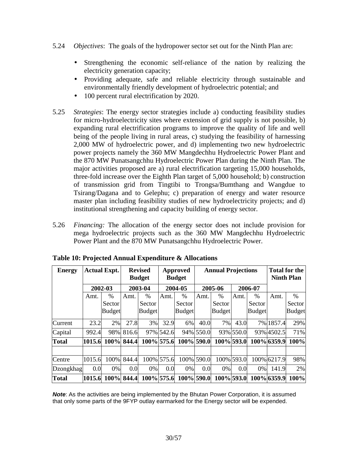- 5.24 *Objectives*: The goals of the hydropower sector set out for the Ninth Plan are:
	- Strengthening the economic self-reliance of the nation by realizing the electricity generation capacity;
	- Providing adequate, safe and reliable electricity through sustainable and environmentally friendly development of hydroelectric potential; and
	- 100 percent rural electrification by 2020.
- 5.25 *Strategies*: The energy sector strategies include a) conducting feasibility studies for micro-hydroelectricity sites where extension of grid supply is not possible, b) expanding rural electrification programs to improve the quality of life and well being of the people living in rural areas, c) studying the feasibility of harnessing 2,000 MW of hydroelectric power, and d) implementing two new hydroelectric power projects namely the 360 MW Mangdechhu Hydroelectric Power Plant and the 870 MW Punatsangchhu Hydroelectric Power Plan during the Ninth Plan. The major activities proposed are a) rural electrification targeting 15,000 households, three-fold increase over the Eighth Plan target of 5,000 household; b) construction of transmission grid from Tingtibi to Trongsa/Bumthang and Wangdue to Tsirang/Dagana and to Gelephu; c) preparation of energy and water resource master plan including feasibility studies of new hydroelectricity projects; and d) institutional strengthening and capacity building of energy sector.
- 5.26 *Financing:* The allocation of the energy sector does not include provision for mega hydroelectric projects such as the 360 MW Mangdechhu Hydroelectric Power Plant and the 870 MW Punatsangchhu Hydroelectric Power.

| <b>Energy</b>    | <b>Actual Expt.</b> |               |       | <b>Revised</b><br><b>Budget</b> | <b>Annual Projections</b><br>Approved<br><b>Budget</b> |               |           | <b>Total for the</b><br><b>Ninth Plan</b> |            |               |             |                     |
|------------------|---------------------|---------------|-------|---------------------------------|--------------------------------------------------------|---------------|-----------|-------------------------------------------|------------|---------------|-------------|---------------------|
|                  | 2002-03             |               |       | 2003-04                         |                                                        | 2004-05       |           | 2005-06                                   |            | 2006-07       |             |                     |
|                  | Amt.                | $\frac{0}{6}$ | Amt.  | %                               | Amt.                                                   | $\%$          | Amt.      | $\%$                                      | Amt.       | $\frac{0}{0}$ | Amt.        | $\%$                |
|                  |                     | Sector        |       | Sector                          |                                                        | Sector        |           | Sector                                    |            | Sector        |             | Sector <sup>1</sup> |
|                  |                     | <b>Budget</b> |       | <b>Budget</b>                   |                                                        | <b>Budget</b> |           | <b>Budget</b>                             |            | <b>Budget</b> |             | <b>Budget</b>       |
| <b>Current</b>   | 23.2                | 2%            | 27.8  | 3%                              | 32.9                                                   | 6%            | 40.0      | 7%                                        | 43.0       |               | 7% 1857.4   | 29%                 |
| Capital          | 992.4               | 98%           | 816.6 |                                 | 97% 542.6                                              |               | 94% 550.0 |                                           | 93% 550.0  |               | 93% 4502.5  | 71%                 |
| <b>Total</b>     | 1015.6              | 100% 844.4    |       | 100% 575.6                      |                                                        | $100\%$ 590.0 |           | 100% 593.0                                |            |               | 100% 6359.9 | 100%                |
|                  |                     |               |       |                                 |                                                        |               |           |                                           |            |               |             |                     |
| Centre           | 1015.6              | 100%          | 844.4 |                                 | 100% 575.6                                             | 100%          | 590.0     |                                           | 100% 593.0 |               | 100% 6217.9 | 98%                 |
| <b>Dzongkhag</b> | 0.0                 | $0\%$         | 0.0   | $0\%$                           | 0.0                                                    | 0%            | 0.0       | 0%                                        | 0.0        | 0%            | 141.9       | 2%                  |
| <b>Total</b>     | 1015.6              | 100% 844.4    |       | 100% 575.6                      |                                                        | $100\%$ 590.0 |           | 100% 593.0                                |            |               | 100% 6359.9 | 100%                |

**Note:** As the activities are being implemented by the Bhutan Power Corporation, it is assumed that only some parts of the 9FYP outlay earmarked for the Energy sector will be expended.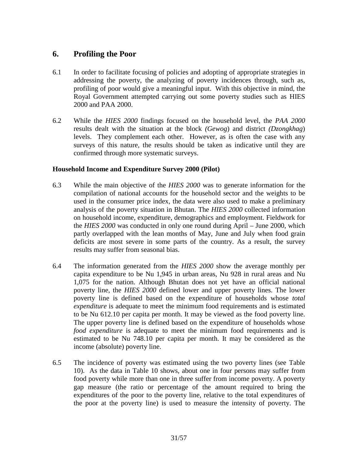# **6. Profiling the Poor**

- 6.1 In order to facilitate focusing of policies and adopting of appropriate strategies in addressing the poverty, the analyzing of poverty incidences through, such as, profiling of poor would give a meaningful input. With this objective in mind, the Royal Government attempted carrying out some poverty studies such as HIES 2000 and PAA 2000.
- 6.2 While the *HIES 2000* findings focused on the household level, the *PAA 2000*  results dealt with the situation at the block *(Gewog*) and district *(Dzongkhag*) levels. They complement each other. However, as is often the case with any surveys of this nature, the results should be taken as indicative until they are confirmed through more systematic surveys.

## **Household Income and Expenditure Survey 2000 (Pilot)**

- 6.3 While the main objective of the *HIES 2000* was to generate information for the compilation of national accounts for the household sector and the weights to be used in the consumer price index, the data were also used to make a preliminary analysis of the poverty situation in Bhutan. The *HIES 2000* collected information on household income, expenditure, demographics and employment. Fieldwork for the *HIES 2000* was conducted in only one round during April – June 2000, which partly overlapped with the lean months of May, June and July when food grain deficits are most severe in some parts of the country. As a result, the survey results may suffer from seasonal bias.
- 6.4 The information generated from the *HIES 2000* show the average monthly per capita expenditure to be Nu 1,945 in urban areas, Nu 928 in rural areas and Nu 1,075 for the nation. Although Bhutan does not yet have an official national poverty line, the *HIES 2000* defined lower and upper poverty lines. The lower poverty line is defined based on the expenditure of households whose *total expenditure* is adequate to meet the minimum food requirements and is estimated to be Nu 612.10 per capita per month. It may be viewed as the food poverty line. The upper poverty line is defined based on the expenditure of households whose *food expenditure* is adequate to meet the minimum food requirements and is estimated to be Nu 748.10 per capita per month. It may be considered as the income (absolute) poverty line.
- 6.5 The incidence of poverty was estimated using the two poverty lines (see Table 10). As the data in Table 10 shows, about one in four persons may suffer from food poverty while more than one in three suffer from income poverty. A poverty gap measure (the ratio or percentage of the amount required to bring the expenditures of the poor to the poverty line, relative to the total expenditures of the poor at the poverty line) is used to measure the intensity of poverty. The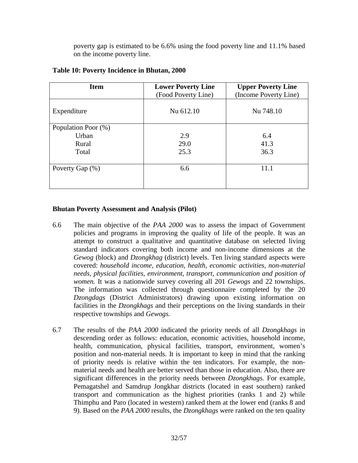poverty gap is estimated to be 6.6% using the food poverty line and 11.1% based on the income poverty line.

| <b>Item</b>         | <b>Lower Poverty Line</b><br>(Food Poverty Line) | <b>Upper Poverty Line</b><br>(Income Poverty Line) |
|---------------------|--------------------------------------------------|----------------------------------------------------|
| Expenditure         | Nu 612.10                                        | Nu 748.10                                          |
| Population Poor (%) |                                                  |                                                    |
| Urban               | 2.9                                              | 6.4                                                |
| Rural               | 29.0                                             | 41.3                                               |
| Total               | 25.3                                             | 36.3                                               |
| Poverty Gap (%)     | 6.6                                              | 11.1                                               |
|                     |                                                  |                                                    |
|                     |                                                  |                                                    |

#### **Table 10: Poverty Incidence in Bhutan, 2000**

#### **Bhutan Poverty Assessment and Analysis (Pilot)**

- 6.6 The main objective of the *PAA 2000* was to assess the impact of Government policies and programs in improving the quality of life of the people. It was an attempt to construct a qualitative and quantitative database on selected living standard indicators covering both income and non-income dimensions at the *Gewog* (block) and *Dzongkhag* (district) levels. Ten living standard aspects were covered: *household income, education, health, economic activities, non-material needs, physical facilities, environment, transport, communication and position of women.* It was a nationwide survey covering all 201 *Gewogs* and 22 townships. The information was collected through questionnaire completed by the 20 *Dzongdags* (District Administrators) drawing upon existing information on facilities in the *Dzongkhags* and their perceptions on the living standards in their respective townships and *Gewogs.*
- 6.7 The results of the *PAA 2000* indicated the priority needs of all *Dzongkhags* in descending order as follows: education, economic activities, household income, health, communication, physical facilities, transport, environment, women's position and non-material needs. It is important to keep in mind that the ranking of priority needs is relative within the ten indicators. For example, the nonmaterial needs and health are better served than those in education. Also, there are significant differences in the priority needs between *Dzongkhags.* For example, Pemagatshel and Samdrup Jongkhar districts (located in east southern) ranked transport and communication as the highest priorities (ranks 1 and 2) while Thimphu and Paro (located in western) ranked them at the lower end (ranks 8 and 9). Based on the *PAA 2000* results, the *Dzongkhags* were ranked on the ten quality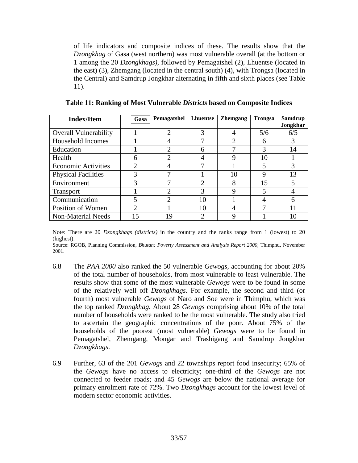of life indicators and composite indices of these. The results show that the *Dzongkhag* of Gasa (west northern) was most vulnerable overall (at the bottom or 1 among the 20 *Dzongkhags)*, followed by Pemagatshel (2), Lhuentse (located in the east) (3), Zhemgang (located in the central south) (4), with Trongsa (located in the Central) and Samdrup Jongkhar alternating in fifth and sixth places (see Table 11).

| <b>Index/Item</b>            | Gasa                        | Pemagatshel   | <b>Lhuentse</b> | <b>Zhemgang</b> | <b>Trongsa</b> | Samdrup<br>Jongkhar |
|------------------------------|-----------------------------|---------------|-----------------|-----------------|----------------|---------------------|
| <b>Overall Vulnerability</b> |                             | ◠             | 3               |                 | 5/6            | 6/5                 |
|                              |                             |               |                 |                 |                |                     |
| Household Incomes            |                             |               |                 |                 | 6              | 3                   |
| Education                    |                             | $\mathcal{P}$ | 6               |                 | 3              | 14                  |
| Health                       | 6                           | ി             |                 | Q               | 10             |                     |
| <b>Economic Activities</b>   | $\overline{2}$              |               |                 |                 | 5              | 3                   |
| <b>Physical Facilities</b>   | 3                           |               |                 | 10              | Q              | 13                  |
| Environment                  | 3                           |               | $\mathcal{D}$   |                 | 15             |                     |
| <b>Transport</b>             |                             | っ             | 3               |                 | 5              |                     |
| Communication                | 5                           | 2             | 10              |                 |                | 6                   |
| Position of Women            | $\mathcal{D}_{\mathcal{L}}$ |               | 10              |                 |                |                     |
| <b>Non-Material Needs</b>    |                             | 19            | າ               |                 |                | 10                  |

Note: There are 20 *Dzongkhags (districts)* in the country and the ranks range from 1 (lowest) to 20 (highest).

Source: RGOB, Planning Commission, *Bhutan: Poverty Assessment and Analysis Report 2000*, Thimphu, November 2001.

- 6.8 The *PAA 2000* also ranked the 50 vulnerable *Gewogs,* accounting for about 20% of the total number of households, from most vulnerable to least vulnerable. The results show that some of the most vulnerable *Gewogs* were to be found in some of the relatively well off *Dzongkhags.* For example, the second and third (or fourth) most vulnerable *Gewogs* of Naro and Soe were in Thimphu, which was the top ranked *Dzongkhag.* About 28 *Gewogs* comprising about 10% of the total number of households were ranked to be the most vulnerable. The study also tried to ascertain the geographic concentrations of the poor. About 75% of the households of the poorest (most vulnerable) *Gewogs* were to be found in Pemagatshel, Zhemgang, Mongar and Trashigang and Samdrup Jongkhar *Dzongkhags*.
- 6.9 Further, 63 of the 201 *Gewogs* and 22 townships report food insecurity; 65% of the *Gewogs* have no access to electricity; one-third of the *Gewogs* are not connected to feeder roads; and 45 *Gewogs* are below the national average for primary enrolment rate of 72%. Two *Dzongkhags* account for the lowest level of modern sector economic activities.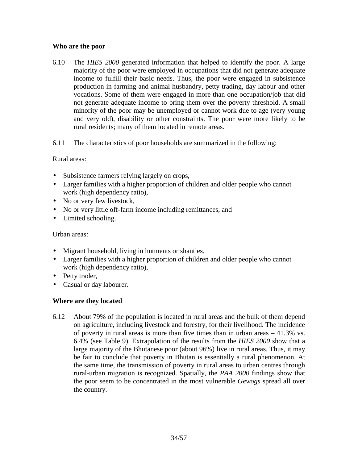#### **Who are the poor**

- 6.10 The *HIES 2000* generated information that helped to identify the poor. A large majority of the poor were employed in occupations that did not generate adequate income to fulfill their basic needs. Thus, the poor were engaged in subsistence production in farming and animal husbandry, petty trading, day labour and other vocations. Some of them were engaged in more than one occupation/job that did not generate adequate income to bring them over the poverty threshold. A small minority of the poor may be unemployed or cannot work due to age (very young and very old), disability or other constraints. The poor were more likely to be rural residents; many of them located in remote areas.
- 6.11 The characteristics of poor households are summarized in the following:

#### Rural areas:

- Subsistence farmers relying largely on crops,
- Larger families with a higher proportion of children and older people who cannot work (high dependency ratio),
- No or very few livestock,
- No or very little off-farm income including remittances, and
- Limited schooling.

Urban areas:

- Migrant household, living in hutments or shanties,
- Larger families with a higher proportion of children and older people who cannot work (high dependency ratio),
- Petty trader,
- Casual or day labourer.

## **Where are they located**

6.12 About 79% of the population is located in rural areas and the bulk of them depend on agriculture, including livestock and forestry, for their livelihood. The incidence of poverty in rural areas is more than five times than in urban areas – 41.3% vs. 6.4% (see Table 9). Extrapolation of the results from the *HIES 2000* show that a large majority of the Bhutanese poor (about 96%) live in rural areas. Thus, it may be fair to conclude that poverty in Bhutan is essentially a rural phenomenon. At the same time, the transmission of poverty in rural areas to urban centres through rural-urban migration is recognized. Spatially, the *PAA 2000* findings show that the poor seem to be concentrated in the most vulnerable *Gewogs* spread all over the country.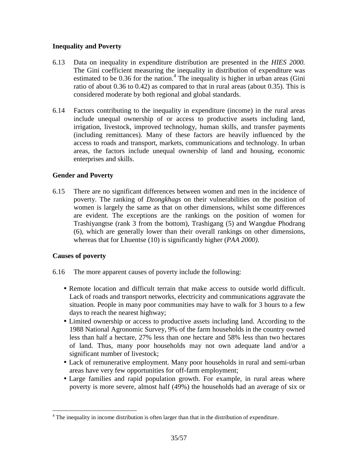## **Inequality and Poverty**

- 6.13 Data on inequality in expenditure distribution are presented in the *HIES 2000.* The Gini coefficient measuring the inequality in distribution of expenditure was estimated to be  $0.36$  for the nation.<sup>4</sup> The inequality is higher in urban areas (Gini ratio of about 0.36 to 0.42) as compared to that in rural areas (about 0.35). This is considered moderate by both regional and global standards.
- 6.14 Factors contributing to the inequality in expenditure (income) in the rural areas include unequal ownership of or access to productive assets including land, irrigation, livestock, improved technology, human skills, and transfer payments (including remittances). Many of these factors are heavily influenced by the access to roads and transport, markets, communications and technology. In urban areas, the factors include unequal ownership of land and housing, economic enterprises and skills.

## **Gender and Poverty**

6.15 There are no significant differences between women and men in the incidence of poverty. The ranking of *Dzongkhags* on their vulnerabilities on the position of women is largely the same as that on other dimensions, whilst some differences are evident. The exceptions are the rankings on the position of women for Trashiyangtse (rank 3 from the bottom), Trashigang (5) and Wangdue Phodrang (6), which are generally lower than their overall rankings on other dimensions, whereas that for Lhuentse (10) is significantly higher (*PAA 2000)*.

## **Causes of poverty**

1

- 6.16 The more apparent causes of poverty include the following:
	- Remote location and difficult terrain that make access to outside world difficult. Lack of roads and transport networks, electricity and communications aggravate the situation. People in many poor communities may have to walk for 3 hours to a few days to reach the nearest highway;
	- Limited ownership or access to productive assets including land. According to the 1988 National Agronomic Survey, 9% of the farm households in the country owned less than half a hectare, 27% less than one hectare and 58% less than two hectares of land. Thus, many poor households may not own adequate land and/or a significant number of livestock;
	- Lack of remunerative employment. Many poor households in rural and semi-urban areas have very few opportunities for off-farm employment;
	- Large families and rapid population growth. For example, in rural areas where poverty is more severe, almost half (49%) the households had an average of six or

<sup>&</sup>lt;sup>4</sup> The inequality in income distribution is often larger than that in the distribution of expenditure.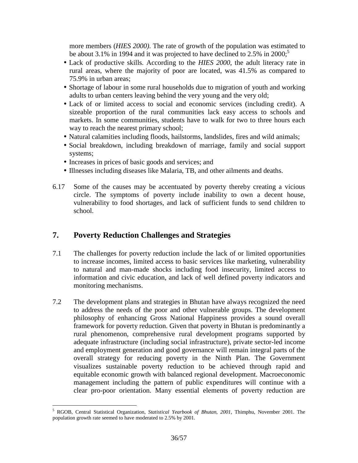more members (*HIES 2000)*. The rate of growth of the population was estimated to be about 3.1% in 1994 and it was projected to have declined to 2.5% in 2000;<sup>5</sup>

- Lack of productive skills. According to the *HIES 2000*, the adult literacy rate in rural areas, where the majority of poor are located, was 41.5% as compared to 75.9% in urban areas;
- Shortage of labour in some rural households due to migration of youth and working adults to urban centers leaving behind the very young and the very old;
- Lack of or limited access to social and economic services (including credit). A sizeable proportion of the rural communities lack easy access to schools and markets. In some communities, students have to walk for two to three hours each way to reach the nearest primary school;
- Natural calamities including floods, hailstorms, landslides, fires and wild animals;
- Social breakdown, including breakdown of marriage, family and social support systems;
- Increases in prices of basic goods and services; and
- Illnesses including diseases like Malaria, TB, and other ailments and deaths.
- 6.17 Some of the causes may be accentuated by poverty thereby creating a vicious circle. The symptoms of poverty include inability to own a decent house, vulnerability to food shortages, and lack of sufficient funds to send children to school.

# **7. Poverty Reduction Challenges and Strategies**

- 7.1 The challenges for poverty reduction include the lack of or limited opportunities to increase incomes, limited access to basic services like marketing, vulnerability to natural and man-made shocks including food insecurity, limited access to information and civic education, and lack of well defined poverty indicators and monitoring mechanisms.
- 7.2 The development plans and strategies in Bhutan have always recognized the need to address the needs of the poor and other vulnerable groups. The development philosophy of enhancing Gross National Happiness provides a sound overall framework for poverty reduction. Given that poverty in Bhutan is predominantly a rural phenomenon, comprehensive rural development programs supported by adequate infrastructure (including social infrastructure), private sector-led income and employment generation and good governance will remain integral parts of the overall strategy for reducing poverty in the Ninth Plan. The Government visualizes sustainable poverty reduction to be achieved through rapid and equitable economic growth with balanced regional development. Macroeconomic management including the pattern of public expenditures will continue with a clear pro-poor orientation. Many essential elements of poverty reduction are

 5 RGOB, Central Statistical Organization, *Statistical Yearbook of Bhutan, 2001,* Thimphu, November 2001. The population growth rate seemed to have moderated to 2.5% by 2001.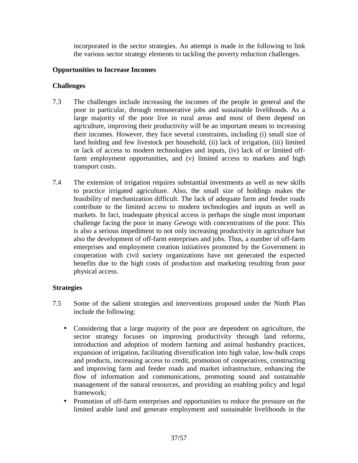incorporated in the sector strategies. An attempt is made in the following to link the various sector strategy elements to tackling the poverty reduction challenges.

#### **Opportunities to Increase Incomes**

#### **Challenges**

- 7.3 The challenges include increasing the incomes of the people in general and the poor in particular, through remunerative jobs and sustainable livelihoods. As a large majority of the poor live in rural areas and most of them depend on agriculture, improving their productivity will be an important means to increasing their incomes. However, they face several constraints, including (i) small size of land holding and few livestock per household, (ii) lack of irrigation, (iii) limited or lack of access to modern technologies and inputs, (iv) lack of or limited offfarm employment opportunities, and (v) limited access to markets and high transport costs.
- 7.4 The extension of irrigation requires substantial investments as well as new skills to practice irrigated agriculture. Also, the small size of holdings makes the feasibility of mechanization difficult. The lack of adequate farm and feeder roads contribute to the limited access to modern technologies and inputs as well as markets. In fact, inadequate physical access is perhaps the single most important challenge facing the poor in many *Gewogs* with concentrations of the poor*.* This is also a serious impediment to not only increasing productivity in agriculture but also the development of off-farm enterprises and jobs. Thus, a number of off-farm enterprises and employment creation initiatives promoted by the Government in cooperation with civil society organizations have not generated the expected benefits due to the high costs of production and marketing resulting from poor physical access.

#### **Strategies**

- 7.5 Some of the salient strategies and interventions proposed under the Ninth Plan include the following:
	- Considering that a large majority of the poor are dependent on agriculture, the sector strategy focuses on improving productivity through land reforms, introduction and adoption of modern farming and animal husbandry practices, expansion of irrigation, facilitating diversification into high value, low-bulk crops and products, increasing access to credit, promotion of cooperatives, constructing and improving farm and feeder roads and market infrastructure, enhancing the flow of information and communications, promoting sound and sustainable management of the natural resources, and providing an enabling policy and legal framework;
	- Promotion of off-farm enterprises and opportunities to reduce the pressure on the limited arable land and generate employment and sustainable livelihoods in the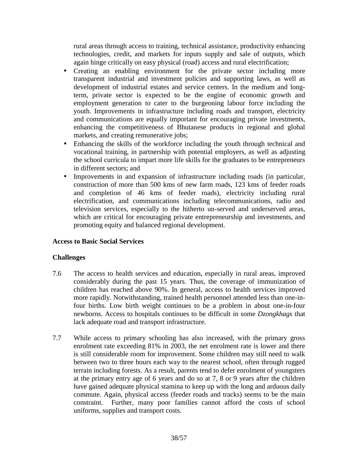rural areas through access to training, technical assistance, productivity enhancing technologies, credit, and markets for inputs supply and sale of outputs, which again hinge critically on easy physical (road) access and rural electrification;

- Creating an enabling environment for the private sector including more transparent industrial and investment policies and supporting laws, as well as development of industrial estates and service centers. In the medium and longterm, private sector is expected to be the engine of economic growth and employment generation to cater to the burgeoning labour force including the youth. Improvements in infrastructure including roads and transport, electricity and communications are equally important for encouraging private investments, enhancing the competitiveness of Bhutanese products in regional and global markets, and creating remunerative jobs;
- Enhancing the skills of the workforce including the youth through technical and vocational training, in partnership with potential employers, as well as adjusting the school curricula to impart more life skills for the graduates to be entrepreneurs in different sectors; and
- Improvements in and expansion of infrastructure including roads (in particular, construction of more than 500 kms of new farm roads, 123 kms of feeder roads and completion of 46 kms of feeder roads), electricity including rural electrification, and communications including telecommunications, radio and television services, especially to the hitherto un-served and underserved areas, which are critical for encouraging private entrepreneurship and investments, and promoting equity and balanced regional development.

## **Access to Basic Social Services**

## **Challenges**

- 7.6 The access to health services and education, especially in rural areas, improved considerably during the past 15 years. Thus, the coverage of immunization of children has reached above 90%. In general, access to health services improved more rapidly. Notwithstanding, trained health personnel attended less than one-infour births. Low birth weight continues to be a problem in about one-in-four newborns. Access to hospitals continues to be difficult in some *Dzongkhags* that lack adequate road and transport infrastructure.
- 7.7 While access to primary schooling has also increased, with the primary gross enrolment rate exceeding 81% in 2003, the net enrolment rate is lower and there is still considerable room for improvement. Some children may still need to walk between two to three hours each way to the nearest school, often through rugged terrain including forests. As a result, parents tend to defer enrolment of youngsters at the primary entry age of 6 years and do so at 7, 8 or 9 years after the children have gained adequate physical stamina to keep up with the long and arduous daily commute. Again, physical access (feeder roads and tracks) seems to be the main constraint. Further, many poor families cannot afford the costs of school uniforms, supplies and transport costs.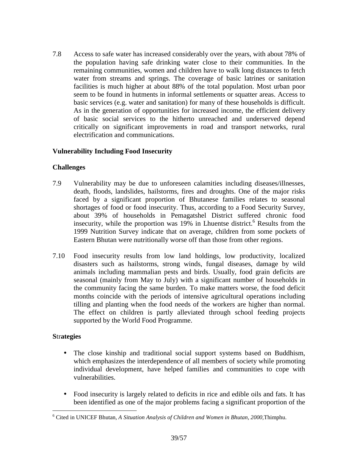7.8 Access to safe water has increased considerably over the years, with about 78% of the population having safe drinking water close to their communities. In the remaining communities, women and children have to walk long distances to fetch water from streams and springs. The coverage of basic latrines or sanitation facilities is much higher at about 88% of the total population. Most urban poor seem to be found in hutments in informal settlements or squatter areas. Access to basic services (e.g. water and sanitation) for many of these households is difficult. As in the generation of opportunities for increased income, the efficient delivery of basic social services to the hitherto unreached and underserved depend critically on significant improvements in road and transport networks, rural electrification and communications.

## **Vulnerability Including Food Insecurity**

## **Challenges**

- 7.9 Vulnerability may be due to unforeseen calamities including diseases/illnesses, death, floods, landslides, hailstorms, fires and droughts. One of the major risks faced by a significant proportion of Bhutanese families relates to seasonal shortages of food or food insecurity. Thus, according to a Food Security Survey, about 39% of households in Pemagatshel District suffered chronic food insecurity, while the proportion was  $19\%$  in Lhuentse district.<sup>6</sup> Results from the 1999 Nutrition Survey indicate that on average, children from some pockets of Eastern Bhutan were nutritionally worse off than those from other regions.
- 7.10 Food insecurity results from low land holdings, low productivity, localized disasters such as hailstorms, strong winds, fungal diseases, damage by wild animals including mammalian pests and birds. Usually, food grain deficits are seasonal (mainly from May to July) with a significant number of households in the community facing the same burden. To make matters worse, the food deficit months coincide with the periods of intensive agricultural operations including tilling and planting when the food needs of the workers are higher than normal. The effect on children is partly alleviated through school feeding projects supported by the World Food Programme.

## **S**tr**ategies**

 $\overline{a}$ 

- The close kinship and traditional social support systems based on Buddhism, which emphasizes the interdependence of all members of society while promoting individual development, have helped families and communities to cope with vulnerabilities.
- Food insecurity is largely related to deficits in rice and edible oils and fats. It has been identified as one of the major problems facing a significant proportion of the

<sup>6</sup> Cited in UNICEF Bhutan, *A Situation Analysis of Children and Women in Bhutan, 2000,*Thimphu.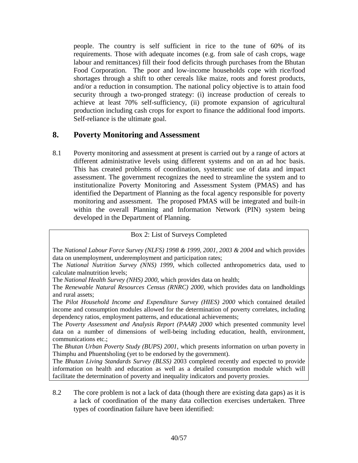people. The country is self sufficient in rice to the tune of 60% of its requirements. Those with adequate incomes (e.g. from sale of cash crops, wage labour and remittances) fill their food deficits through purchases from the Bhutan Food Corporation. The poor and low-income households cope with rice/food shortages through a shift to other cereals like maize, roots and forest products, and/or a reduction in consumption. The national policy objective is to attain food security through a two-pronged strategy: (i) increase production of cereals to achieve at least 70% self-sufficiency, (ii) promote expansion of agricultural production including cash crops for export to finance the additional food imports. Self-reliance is the ultimate goal.

# **8. Poverty Monitoring and Assessment**

8.1 Poverty monitoring and assessment at present is carried out by a range of actors at different administrative levels using different systems and on an ad hoc basis. This has created problems of coordination, systematic use of data and impact assessment. The government recognizes the need to streamline the system and to institutionalize Poverty Monitoring and Assessment System (PMAS) and has identified the Department of Planning as the focal agency responsible for poverty monitoring and assessment. The proposed PMAS will be integrated and built-in within the overall Planning and Information Network (PIN) system being developed in the Department of Planning.

Box 2: List of Surveys Completed

The *National Labour Force Survey (NLFS) 1998 & 1999, 2001, 2003 & 2004* and which provides data on unemployment, underemployment and participation rates;

The *National Nutrition Survey (NNS) 1999*, which collected anthropometrics data, used to calculate malnutrition levels;

The *National Health Survey (NHS) 2000*, which provides data on health;

The *Renewable Natural Resources Census (RNRC) 2000*, which provides data on landholdings and rural assets;

The *Pilot Household Income and Expenditure Survey (HIES) 2000* which contained detailed income and consumption modules allowed for the determination of poverty correlates, including dependency ratios, employment patterns, and educational achievements;

The *Poverty Assessment and Analysis Report (PAAR) 2000* which presented community level data on a number of dimensions of well-being including education, health, environment, communications etc.;

The *Bhutan Urban Poverty Study (BUPS) 2001*, which presents information on urban poverty in Thimphu and Phuentsholing (yet to be endorsed by the government).

The *Bhutan Living Standards Survey (BLSS)* 2003 completed recently and expected to provide information on health and education as well as a detailed consumption module which will facilitate the determination of poverty and inequality indicators and poverty proxies.

8.2 The core problem is not a lack of data (though there are existing data gaps) as it is a lack of coordination of the many data collection exercises undertaken. Three types of coordination failure have been identified: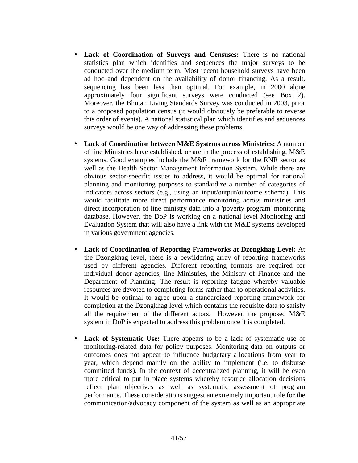- **Lack of Coordination of Surveys and Censuses:** There is no national statistics plan which identifies and sequences the major surveys to be conducted over the medium term. Most recent household surveys have been ad hoc and dependent on the availability of donor financing. As a result, sequencing has been less than optimal. For example, in 2000 alone approximately four significant surveys were conducted (see Box 2). Moreover, the Bhutan Living Standards Survey was conducted in 2003, prior to a proposed population census (it would obviously be preferable to reverse this order of events). A national statistical plan which identifies and sequences surveys would be one way of addressing these problems.
- **Lack of Coordination between M&E Systems across Ministries:** A number of line Ministries have established, or are in the process of establishing, M&E systems. Good examples include the M&E framework for the RNR sector as well as the Health Sector Management Information System. While there are obvious sector-specific issues to address, it would be optimal for national planning and monitoring purposes to standardize a number of categories of indicators across sectors (e.g., using an input/output/outcome schema). This would facilitate more direct performance monitoring across ministries and direct incorporation of line ministry data into a 'poverty program' monitoring database. However, the DoP is working on a national level Monitoring and Evaluation System that will also have a link with the M&E systems developed in various government agencies.
- **Lack of Coordination of Reporting Frameworks at Dzongkhag Level:** At the Dzongkhag level, there is a bewildering array of reporting frameworks used by different agencies. Different reporting formats are required for individual donor agencies, line Ministries, the Ministry of Finance and the Department of Planning. The result is reporting fatigue whereby valuable resources are devoted to completing forms rather than to operational activities. It would be optimal to agree upon a standardized reporting framework for completion at the Dzongkhag level which contains the requisite data to satisfy all the requirement of the different actors. However, the proposed M&E system in DoP is expected to address this problem once it is completed.
- **Lack of Systematic Use:** There appears to be a lack of systematic use of monitoring-related data for policy purposes. Monitoring data on outputs or outcomes does not appear to influence budgetary allocations from year to year, which depend mainly on the ability to implement (i.e. to disburse committed funds). In the context of decentralized planning, it will be even more critical to put in place systems whereby resource allocation decisions reflect plan objectives as well as systematic assessment of program performance. These considerations suggest an extremely important role for the communication/advocacy component of the system as well as an appropriate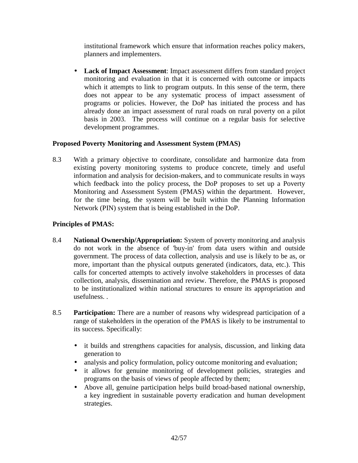institutional framework which ensure that information reaches policy makers, planners and implementers.

• **Lack of Impact Assessment**: Impact assessment differs from standard project monitoring and evaluation in that it is concerned with outcome or impacts which it attempts to link to program outputs. In this sense of the term, there does not appear to be any systematic process of impact assessment of programs or policies. However, the DoP has initiated the process and has already done an impact assessment of rural roads on rural poverty on a pilot basis in 2003. The process will continue on a regular basis for selective development programmes.

## **Proposed Poverty Monitoring and Assessment System (PMAS)**

8.3 With a primary objective to coordinate, consolidate and harmonize data from existing poverty monitoring systems to produce concrete, timely and useful information and analysis for decision-makers, and to communicate results in ways which feedback into the policy process, the DoP proposes to set up a Poverty Monitoring and Assessment System (PMAS) within the department. However, for the time being, the system will be built within the Planning Information Network (PIN) system that is being established in the DoP.

## **Principles of PMAS:**

- 8.4 **National Ownership/Appropriation:** System of poverty monitoring and analysis do not work in the absence of 'buy-in' from data users within and outside government. The process of data collection, analysis and use is likely to be as, or more, important than the physical outputs generated (indicators, data, etc.). This calls for concerted attempts to actively involve stakeholders in processes of data collection, analysis, dissemination and review. Therefore, the PMAS is proposed to be institutionalized within national structures to ensure its appropriation and usefulness. .
- 8.5 **Participation:** There are a number of reasons why widespread participation of a range of stakeholders in the operation of the PMAS is likely to be instrumental to its success. Specifically:
	- it builds and strengthens capacities for analysis, discussion, and linking data generation to
	- analysis and policy formulation, policy outcome monitoring and evaluation;
	- it allows for genuine monitoring of development policies, strategies and programs on the basis of views of people affected by them;
	- Above all, genuine participation helps build broad-based national ownership, a key ingredient in sustainable poverty eradication and human development strategies.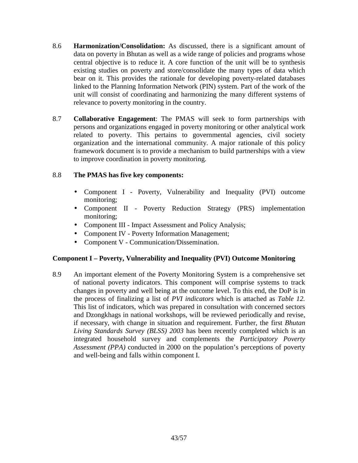- 8.6 **Harmonization/Consolidation:** As discussed, there is a significant amount of data on poverty in Bhutan as well as a wide range of policies and programs whose central objective is to reduce it. A core function of the unit will be to synthesis existing studies on poverty and store/consolidate the many types of data which bear on it. This provides the rationale for developing poverty-related databases linked to the Planning Information Network (PIN) system. Part of the work of the unit will consist of coordinating and harmonizing the many different systems of relevance to poverty monitoring in the country.
- 8.7 **Collaborative Engagement**: The PMAS will seek to form partnerships with persons and organizations engaged in poverty monitoring or other analytical work related to poverty. This pertains to governmental agencies, civil society organization and the international community. A major rationale of this policy framework document is to provide a mechanism to build partnerships with a view to improve coordination in poverty monitoring.

## 8.8 **The PMAS has five key components:**

- Component I Poverty, Vulnerability and Inequality (PVI) outcome monitoring;
- Component II Poverty Reduction Strategy (PRS) implementation monitoring;
- Component III Impact Assessment and Policy Analysis;
- Component IV Poverty Information Management;
- Component V Communication/Dissemination.

## **Component I – Poverty, Vulnerability and Inequality (PVI) Outcome Monitoring**

8.9 An important element of the Poverty Monitoring System is a comprehensive set of national poverty indicators. This component will comprise systems to track changes in poverty and well being at the outcome level. To this end, the DoP is in the process of finalizing a list of *PVI indicators* which is attached as *Table 12.*  This list of indicators, which was prepared in consultation with concerned sectors and Dzongkhags in national workshops, will be reviewed periodically and revise, if necessary, with change in situation and requirement. Further, the first *Bhutan Living Standards Survey (BLSS) 2003* has been recently completed which is an integrated household survey and complements the *Participatory Poverty Assessment (PPA)* conducted in 2000 on the population's perceptions of poverty and well-being and falls within component I.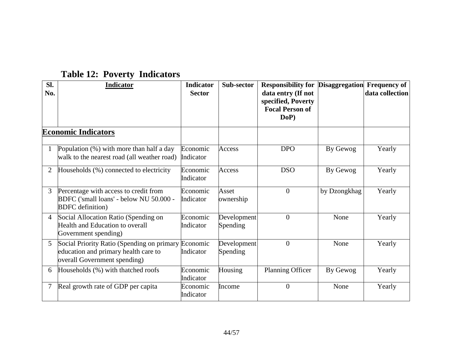| SI.<br>No.     | Indicator                                                                                                          | <b>Indicator</b><br><b>Sector</b> | Sub-sector              | <b>Responsibility for Disaggregation Frequency of</b><br>data entry (If not<br>specified, Poverty<br><b>Focal Person of</b><br>DoP) |              | data collection |
|----------------|--------------------------------------------------------------------------------------------------------------------|-----------------------------------|-------------------------|-------------------------------------------------------------------------------------------------------------------------------------|--------------|-----------------|
|                | <b>Economic Indicators</b>                                                                                         |                                   |                         |                                                                                                                                     |              |                 |
| $\mathbf{1}$   | Population $(\%)$ with more than half a day<br>walk to the nearest road (all weather road)                         | Economic<br>Indicator             | Access                  | <b>DPO</b>                                                                                                                          | By Gewog     | Yearly          |
| 2              | Households (%) connected to electricity                                                                            | Economic<br>Indicator             | Access                  | <b>DSO</b>                                                                                                                          | By Gewog     | Yearly          |
| $\mathfrak{Z}$ | Percentage with access to credit from<br>BDFC ('small loans' - below NU 50.000 -<br><b>BDFC</b> definition)        | Economic<br>Indicator             | Asset<br>ownership      | $\mathbf{0}$                                                                                                                        | by Dzongkhag | Yearly          |
| $\overline{4}$ | Social Allocation Ratio (Spending on<br>Health and Education to overall<br>Government spending)                    | Economic<br>Indicator             | Development<br>Spending | $\mathbf{0}$                                                                                                                        | None         | Yearly          |
| 5 <sup>5</sup> | Social Priority Ratio (Spending on primary<br>education and primary health care to<br>overall Government spending) | Economic<br>Indicator             | Development<br>Spending | $\overline{0}$                                                                                                                      | None         | Yearly          |
| 6              | Households (%) with that ched roofs                                                                                | Economic<br>Indicator             | Housing                 | Planning Officer                                                                                                                    | By Gewog     | Yearly          |
|                | Real growth rate of GDP per capita                                                                                 | Economic<br>Indicator             | Income                  | $\overline{0}$                                                                                                                      | None         | Yearly          |

# **Table 12: Poverty Indicators**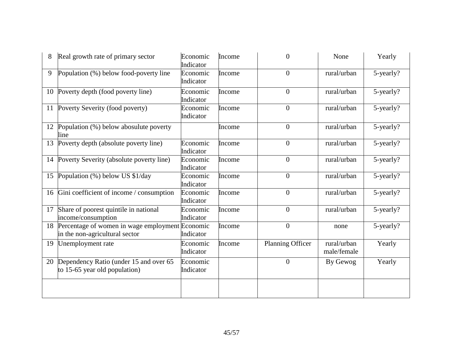|    | Real growth rate of primary sector                                                | Economic<br>Indicator | Income | 0                | None                       | Yearly    |
|----|-----------------------------------------------------------------------------------|-----------------------|--------|------------------|----------------------------|-----------|
| 9  | Population (%) below food-poverty line                                            | Economic<br>Indicator | Income | $\overline{0}$   | rural/urban                | 5-yearly? |
|    | 10 Poverty depth (food poverty line)                                              | Economic<br>Indicator | Income | $\overline{0}$   | rural/urban                | 5-yearly? |
|    | 11 Poverty Severity (food poverty)                                                | Economic<br>Indicator | Income | $\overline{0}$   | rural/urban                | 5-yearly? |
|    | 12 Population (%) below abosulute poverty<br>line                                 |                       | Income | $\overline{0}$   | rural/urban                | 5-yearly? |
| 13 | Poverty depth (absolute poverty line)                                             | Economic<br>Indicator | Income | $\overline{0}$   | rural/urban                | 5-yearly? |
|    | 14 Poverty Severity (absolute poverty line)                                       | Economic<br>Indicator | Income | $\overline{0}$   | rural/urban                | 5-yearly? |
| 15 | Population (%) below US \$1/day                                                   | Economic<br>Indicator | Income | $\overline{0}$   | rural/urban                | 5-yearly? |
|    | 16 Gini coefficient of income / consumption                                       | Economic<br>Indicator | Income | $\overline{0}$   | rural/urban                | 5-yearly? |
| 17 | Share of poorest quintile in national<br>income/consumption                       | Economic<br>Indicator | Income | $\overline{0}$   | rural/urban                | 5-yearly? |
| 18 | Percentage of women in wage employment Economic<br>in the non-agricultural sector | Indicator             | Income | $\overline{0}$   | none                       | 5-yearly? |
|    | 19 Unemployment rate                                                              | Economic<br>Indicator | Income | Planning Officer | rural/urban<br>male/female | Yearly    |
|    | 20 Dependency Ratio (under 15 and over 65<br>to 15-65 year old population)        | Economic<br>Indicator |        | $\overline{0}$   | By Gewog                   | Yearly    |
|    |                                                                                   |                       |        |                  |                            |           |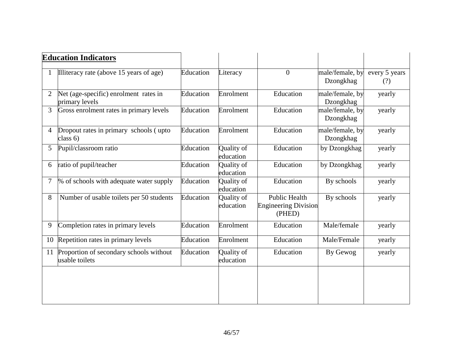|                | <b>Education Indicators</b>                               |           |                         |                                                               |                              |                      |
|----------------|-----------------------------------------------------------|-----------|-------------------------|---------------------------------------------------------------|------------------------------|----------------------|
|                | Illiteracy rate (above 15 years of age)                   | Education | Literacy                | $\overline{0}$                                                | male/female, by<br>Dzongkhag | every 5 years<br>(?) |
| $\overline{2}$ | Net (age-specific) enrolment rates in<br>primary levels   | Education | Enrolment               | Education                                                     | male/female, by<br>Dzongkhag | yearly               |
| 3              | Gross enrolment rates in primary levels                   | Education | Enrolment               | Education                                                     | male/female, by<br>Dzongkhag | yearly               |
| $\overline{4}$ | Dropout rates in primary schools (upto<br>class $6)$      | Education | Enrolment               | Education                                                     | male/female, by<br>Dzongkhag | yearly               |
| 5              | Pupil/classroom ratio                                     | Education | Quality of<br>education | Education                                                     | by Dzongkhag                 | yearly               |
| 6              | ratio of pupil/teacher                                    | Education | Quality of<br>education | Education                                                     | by Dzongkhag                 | yearly               |
| 7              | % of schools with adequate water supply                   | Education | Quality of<br>education | Education                                                     | By schools                   | yearly               |
| 8              | Number of usable toilets per 50 students                  | Education | Quality of<br>education | <b>Public Health</b><br><b>Engineering Division</b><br>(PHED) | By schools                   | yearly               |
| 9              | Completion rates in primary levels                        | Education | Enrolment               | Education                                                     | Male/female                  | yearly               |
| 10             | Repetition rates in primary levels                        | Education | Enrolment               | Education                                                     | Male/Female                  | yearly               |
| 11             | Proportion of secondary schools without<br>usable toilets | Education | Quality of<br>education | Education                                                     | By Gewog                     | yearly               |
|                |                                                           |           |                         |                                                               |                              |                      |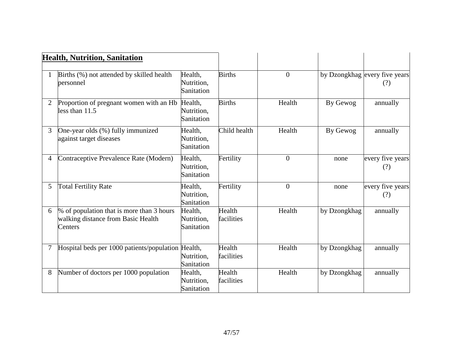|                | <b>Health, Nutrition, Sanitation</b>                                                       |                                     |                      |                |              |                                      |
|----------------|--------------------------------------------------------------------------------------------|-------------------------------------|----------------------|----------------|--------------|--------------------------------------|
|                |                                                                                            |                                     |                      |                |              |                                      |
|                | Births (%) not attended by skilled health<br>personnel                                     | Health,<br>Nutrition,<br>Sanitation | <b>Births</b>        | $\overline{0}$ |              | by Dzongkhag every five years<br>(?) |
| $\overline{2}$ | Proportion of pregnant women with an Hb Health,<br>less than $11.5$                        | Nutrition,<br>Sanitation            | <b>Births</b>        | Health         | By Gewog     | annually                             |
| 3              | One-year olds (%) fully immunized<br>against target diseases                               | Health,<br>Nutrition,<br>Sanitation | Child health         | Health         | By Gewog     | annually                             |
| $\overline{4}$ | Contraceptive Prevalence Rate (Modern)                                                     | Health,<br>Nutrition,<br>Sanitation | Fertility            | $\overline{0}$ | none         | every five years<br>(?)              |
| 5              | <b>Total Fertility Rate</b>                                                                | Health,<br>Nutrition,<br>Sanitation | Fertility            | $\overline{0}$ | none         | every five years<br>(?)              |
| 6              | % of population that is more than 3 hours<br>walking distance from Basic Health<br>Centers | Health,<br>Nutrition,<br>Sanitation | Health<br>facilities | Health         | by Dzongkhag | annually                             |
| 7              | Hospital beds per 1000 patients/population Health,                                         | Nutrition,<br>Sanitation            | Health<br>facilities | Health         | by Dzongkhag | annually                             |
| 8              | Number of doctors per 1000 population                                                      | Health,<br>Nutrition,<br>Sanitation | Health<br>facilities | Health         | by Dzongkhag | annually                             |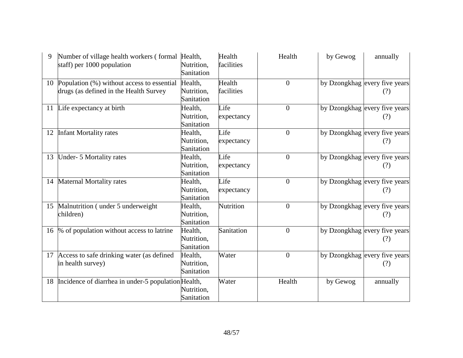|    | Number of village health workers (formal Health,<br>staff) per 1000 population          | Nutrition,<br>Sanitation            | Health<br>facilities | Health         | by Gewog | annually                             |
|----|-----------------------------------------------------------------------------------------|-------------------------------------|----------------------|----------------|----------|--------------------------------------|
|    | 10 Population (%) without access to essential<br>drugs (as defined in the Health Survey | Health,<br>Nutrition,<br>Sanitation | Health<br>facilities | $\overline{0}$ |          | by Dzongkhag every five years<br>(?) |
|    | 11 Life expectancy at birth                                                             | Health,<br>Nutrition,<br>Sanitation | Life<br>expectancy   | $\overline{0}$ |          | by Dzongkhag every five years<br>(?) |
| 12 | <b>Infant Mortality rates</b>                                                           | Health,<br>Nutrition,<br>Sanitation | Life<br>expectancy   | $\overline{0}$ |          | by Dzongkhag every five years<br>(?) |
| 13 | Under- 5 Mortality rates                                                                | Health,<br>Nutrition,<br>Sanitation | Life<br>expectancy   | $\theta$       |          | by Dzongkhag every five years<br>(?) |
| 14 | <b>Maternal Mortality rates</b>                                                         | Health,<br>Nutrition,<br>Sanitation | Life<br>expectancy   | $\overline{0}$ |          | by Dzongkhag every five years<br>(?) |
| 15 | Malnutrition (under 5 underweight)<br>children)                                         | Health,<br>Nutrition,<br>Sanitation | Nutrition            | $\theta$       |          | by Dzongkhag every five years<br>(?) |
|    | 16 % of population without access to latrine                                            | Health,<br>Nutrition,<br>Sanitation | Sanitation           | $\mathbf{0}$   |          | by Dzongkhag every five years<br>(?) |
|    | 17 Access to safe drinking water (as defined<br>in health survey)                       | Health,<br>Nutrition,<br>Sanitation | Water                | $\theta$       |          | by Dzongkhag every five years<br>(?) |
|    | 18 Incidence of diarrhea in under-5 population Health,                                  | Nutrition,<br>Sanitation            | Water                | Health         | by Gewog | annually                             |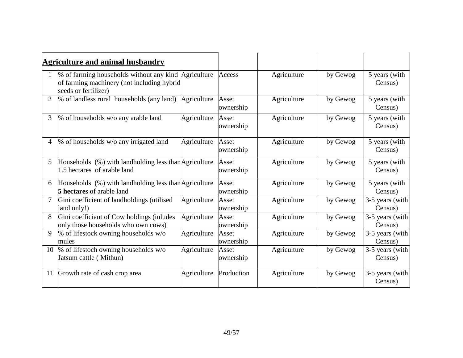|                | <b>Agriculture and animal husbandry</b>                                                                                    |             |                    |             |          |                            |
|----------------|----------------------------------------------------------------------------------------------------------------------------|-------------|--------------------|-------------|----------|----------------------------|
|                | % of farming households without any kind Agriculture<br>of farming machinery (not including hybrid<br>seeds or fertilizer) |             | Access             | Agriculture | by Gewog | 5 years (with<br>Census)   |
| $\overline{2}$ | % of landless rural households (any land)                                                                                  | Agriculture | Asset<br>ownership | Agriculture | by Gewog | 5 years (with<br>Census)   |
| 3              | % of households w/o any arable land                                                                                        | Agriculture | Asset<br>ownership | Agriculture | by Gewog | 5 years (with<br>Census)   |
| $\overline{4}$ | % of households w/o any irrigated land                                                                                     | Agriculture | Asset<br>ownership | Agriculture | by Gewog | 5 years (with<br>Census)   |
| 5 <sup>5</sup> | Households (%) with landholding less than Agriculture<br>1.5 hectares of arable land                                       |             | Asset<br>ownership | Agriculture | by Gewog | 5 years (with<br>Census)   |
| 6              | Households (%) with landholding less than Agriculture<br><b>5 hectares</b> of arable land                                  |             | Asset<br>ownership | Agriculture | by Gewog | 5 years (with<br>Census)   |
| $\tau$         | Gini coefficient of landholdings (utilised<br>land only!)                                                                  | Agriculture | Asset<br>ownership | Agriculture | by Gewog | 3-5 years (with<br>Census) |
| 8              | Gini coefficiant of Cow holdings (inludes<br>only those households who own cows)                                           | Agriculture | Asset<br>ownership | Agriculture | by Gewog | 3-5 years (with<br>Census) |
| 9              | % of lifestock owning households w/o<br>mules                                                                              | Agriculture | Asset<br>ownership | Agriculture | by Gewog | 3-5 years (with<br>Census) |
|                | 10 % of lifestoch owning households $w/o$<br>Jatsum cattle (Mithun)                                                        | Agriculture | Asset<br>ownership | Agriculture | by Gewog | 3-5 years (with<br>Census) |
| 11             | Growth rate of cash crop area                                                                                              | Agriculture | Production         | Agriculture | by Gewog | 3-5 years (with<br>Census) |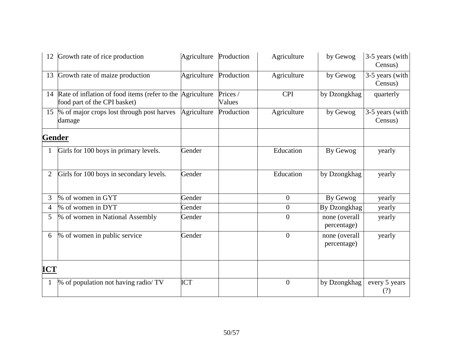| 12             | Growth rate of rice production                                                               | Agriculture Production |                    | Agriculture      | by Gewog                     | 3-5 years (with<br>Census) |
|----------------|----------------------------------------------------------------------------------------------|------------------------|--------------------|------------------|------------------------------|----------------------------|
| 13             | Growth rate of maize production                                                              | Agriculture            | Production         | Agriculture      | by Gewog                     | 3-5 years (with<br>Census) |
|                | 14 Rate of inflation of food items (refer to the Agriculture<br>food part of the CPI basket) |                        | Prices /<br>Values | <b>CPI</b>       | by Dzongkhag                 | quarterly                  |
| 15             | % of major crops lost through post harves<br>damage                                          | Agriculture            | Production         | Agriculture      | by Gewog                     | 3-5 years (with<br>Census) |
| <b>Gender</b>  |                                                                                              |                        |                    |                  |                              |                            |
| 1              | Girls for 100 boys in primary levels.                                                        | Gender                 |                    | Education        | By Gewog                     | yearly                     |
| $\overline{2}$ | Girls for 100 boys in secondary levels.                                                      | Gender                 |                    | Education        | by Dzongkhag                 | yearly                     |
| 3              | % of women in GYT                                                                            | Gender                 |                    | $\boldsymbol{0}$ | By Gewog                     | yearly                     |
| $\overline{4}$ | % of women in DYT                                                                            | Gender                 |                    | $\boldsymbol{0}$ | By Dzongkhag                 | yearly                     |
| 5              | % of women in National Assembly                                                              | Gender                 |                    | $\overline{0}$   | none (overall<br>percentage) | yearly                     |
| 6              | % of women in public service                                                                 | Gender                 |                    | $\overline{0}$   | none (overall<br>percentage) | yearly                     |
| <b>ICT</b>     |                                                                                              |                        |                    |                  |                              |                            |
|                | % of population not having radio/ TV                                                         | <b>ICT</b>             |                    | $\boldsymbol{0}$ | by Dzongkhag                 | every 5 years<br>(?)       |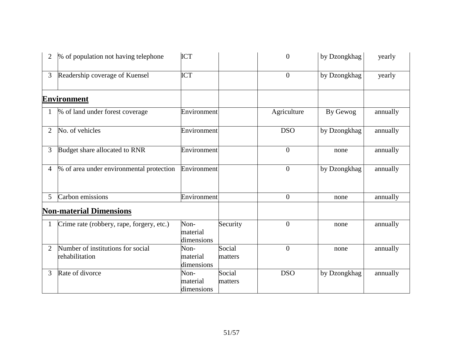| 2              | % of population not having telephone                | ICT                            |                   | $\boldsymbol{0}$ | by Dzongkhag | yearly   |
|----------------|-----------------------------------------------------|--------------------------------|-------------------|------------------|--------------|----------|
| 3              | Readership coverage of Kuensel                      | <b>ICT</b>                     |                   | $\overline{0}$   | by Dzongkhag | yearly   |
|                | <b>Environment</b>                                  |                                |                   |                  |              |          |
|                | % of land under forest coverage                     | Environment                    |                   | Agriculture      | By Gewog     | annually |
| $\overline{2}$ | No. of vehicles                                     | Environment                    |                   | <b>DSO</b>       | by Dzongkhag | annually |
| 3              | Budget share allocated to RNR                       | Environment                    |                   | $\overline{0}$   | none         | annually |
| 4              | % of area under environmental protection            | Environment                    |                   | $\overline{0}$   | by Dzongkhag | annually |
| 5 <sup>5</sup> | Carbon emissions                                    | Environment                    |                   | $\overline{0}$   | none         | annually |
|                | <b>Non-material Dimensions</b>                      |                                |                   |                  |              |          |
|                | Crime rate (robbery, rape, forgery, etc.)           | Non-<br>material<br>dimensions | Security          | $\boldsymbol{0}$ | none         | annually |
| 2              | Number of institutions for social<br>rehabilitation | Non-<br>material<br>dimensions | Social<br>matters | $\overline{0}$   | none         | annually |
| 3              | Rate of divorce                                     | Non-<br>material<br>dimensions | Social<br>matters | <b>DSO</b>       | by Dzongkhag | annually |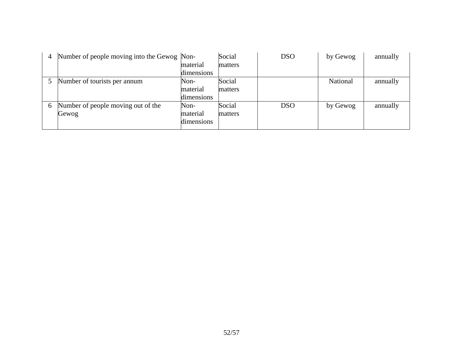| 4 | Number of people moving into the Gewog Non- | material<br>dimensions         | Social<br>matters | <b>DSO</b> | by Gewog | annually |
|---|---------------------------------------------|--------------------------------|-------------------|------------|----------|----------|
|   | Number of tourists per annum                | Non-<br>material<br>dimensions | Social<br>matters |            | National | annually |
| 6 | Number of people moving out of the<br>Gewog | Non-<br>material<br>dimensions | Social<br>matters | <b>DSO</b> | by Gewog | annually |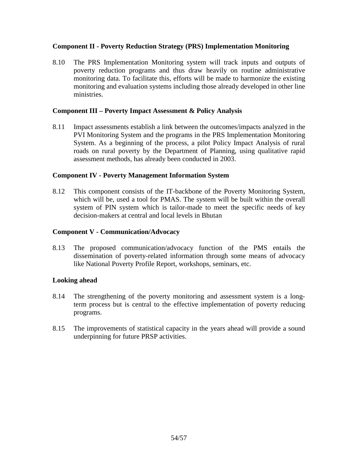#### **Component II - Poverty Reduction Strategy (PRS) Implementation Monitoring**

8.10 The PRS Implementation Monitoring system will track inputs and outputs of poverty reduction programs and thus draw heavily on routine administrative monitoring data. To facilitate this, efforts will be made to harmonize the existing monitoring and evaluation systems including those already developed in other line ministries.

#### **Component III – Poverty Impact Assessment & Policy Analysis**

8.11 Impact assessments establish a link between the outcomes/impacts analyzed in the PVI Monitoring System and the programs in the PRS Implementation Monitoring System. As a beginning of the process, a pilot Policy Impact Analysis of rural roads on rural poverty by the Department of Planning, using qualitative rapid assessment methods, has already been conducted in 2003.

#### **Component IV - Poverty Management Information System**

8.12 This component consists of the IT-backbone of the Poverty Monitoring System, which will be, used a tool for PMAS. The system will be built within the overall system of PIN system which is tailor-made to meet the specific needs of key decision-makers at central and local levels in Bhutan

#### **Component V - Communication/Advocacy**

8.13 The proposed communication/advocacy function of the PMS entails the dissemination of poverty-related information through some means of advocacy like National Poverty Profile Report, workshops, seminars, etc.

## **Looking ahead**

- 8.14 The strengthening of the poverty monitoring and assessment system is a longterm process but is central to the effective implementation of poverty reducing programs.
- 8.15 The improvements of statistical capacity in the years ahead will provide a sound underpinning for future PRSP activities.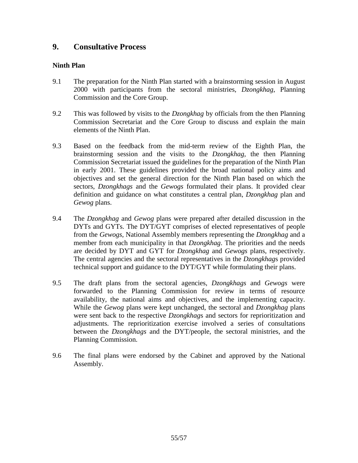# **9. Consultative Process**

## **Ninth Plan**

- 9.1 The preparation for the Ninth Plan started with a brainstorming session in August 2000 with participants from the sectoral ministries, *Dzongkhag*, Planning Commission and the Core Group.
- 9.2 This was followed by visits to the *Dzongkhag* by officials from the then Planning Commission Secretariat and the Core Group to discuss and explain the main elements of the Ninth Plan.
- 9.3 Based on the feedback from the mid-term review of the Eighth Plan, the brainstorming session and the visits to the *Dzongkhag,* the then Planning Commission Secretariat issued the guidelines for the preparation of the Ninth Plan in early 2001. These guidelines provided the broad national policy aims and objectives and set the general direction for the Ninth Plan based on which the sectors, *Dzongkhags* and the *Gewogs* formulated their plans. It provided clear definition and guidance on what constitutes a central plan, *Dzongkhag* plan and *Gewog* plans.
- 9.4 The *Dzongkhag* and *Gewog* plans were prepared after detailed discussion in the DYTs and GYTs. The DYT/GYT comprises of elected representatives of people from the *Gewogs*, National Assembly members representing the *Dzongkhag* and a member from each municipality in that *Dzongkhag*. The priorities and the needs are decided by DYT and GYT for *Dzongkhag* and *Gewogs* plans, respectively. The central agencies and the sectoral representatives in the *Dzongkhag*s provided technical support and guidance to the DYT/GYT while formulating their plans.
- 9.5 The draft plans from the sectoral agencies, *Dzongkhags* and *Gewogs* were forwarded to the Planning Commission for review in terms of resource availability, the national aims and objectives, and the implementing capacity. While the *Gewog* plans were kept unchanged, the sectoral and *Dzongkhag* plans were sent back to the respective *Dzongkhag*s and sectors for reprioritization and adjustments. The reprioritization exercise involved a series of consultations between the *Dzongkhags* and the DYT/people, the sectoral ministries, and the Planning Commission.
- 9.6 The final plans were endorsed by the Cabinet and approved by the National Assembly.